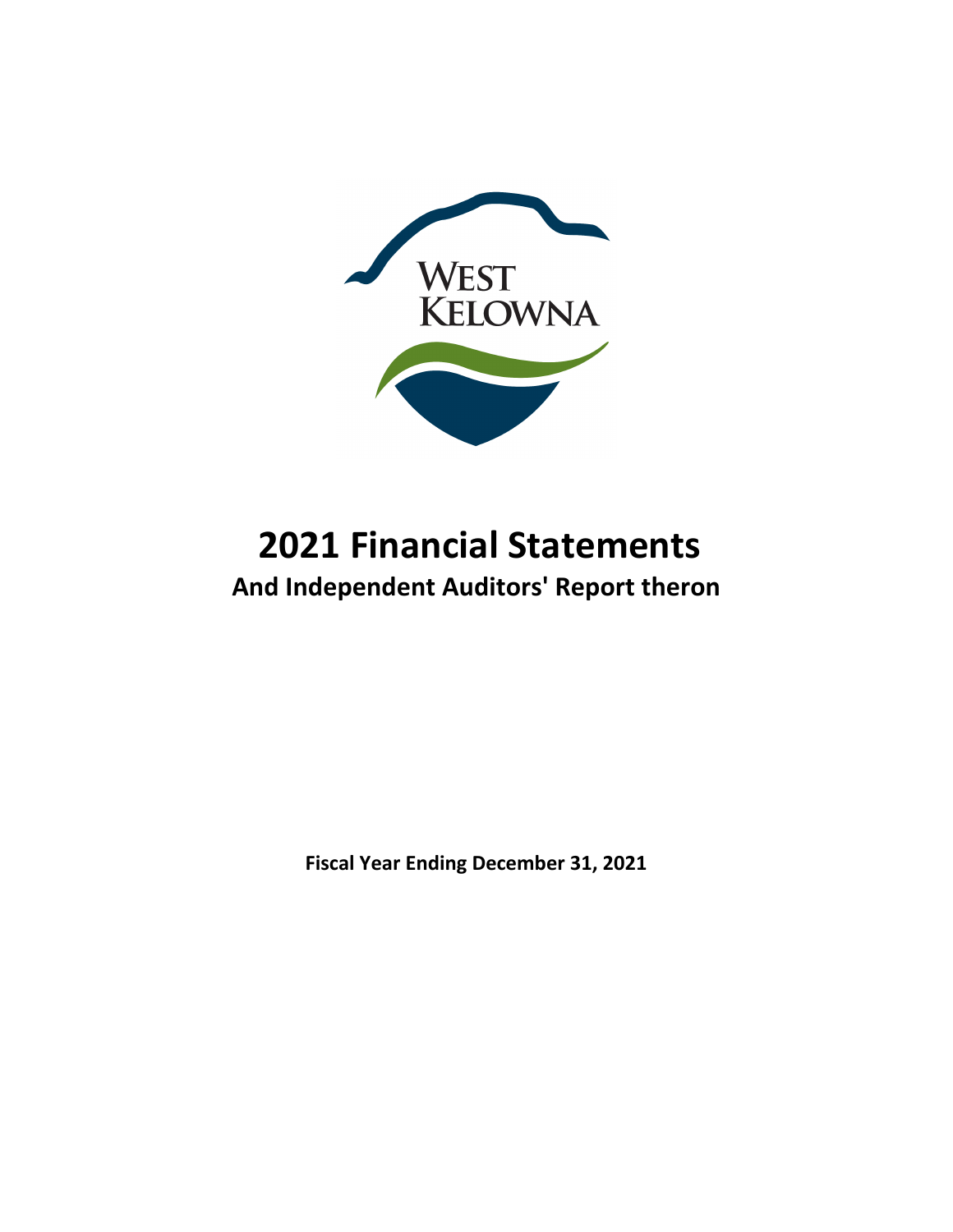

# **2021 Financial Statements And Independent Auditors' Report theron**

**Fiscal Year Ending December 31, 2021**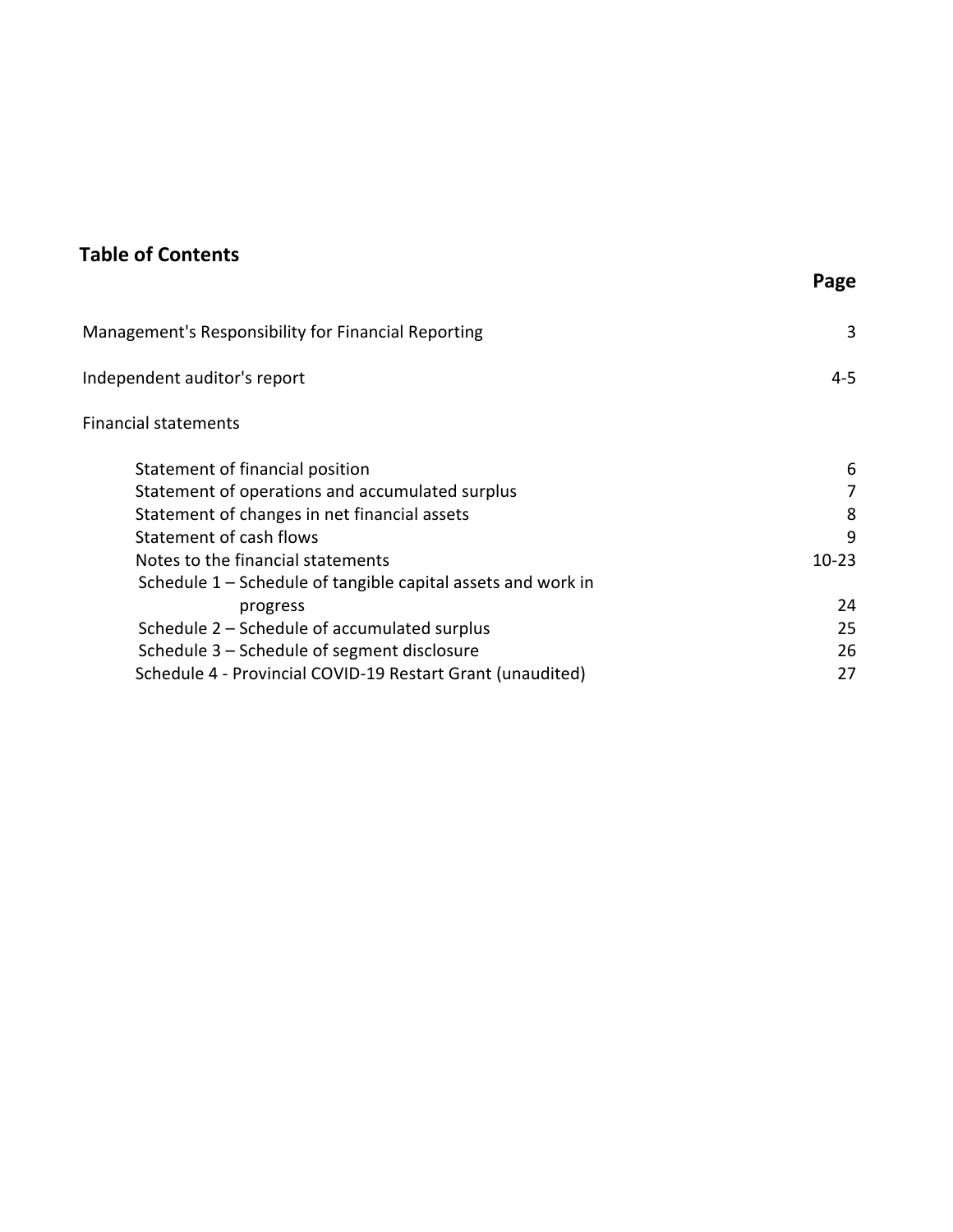## **Table of Contents**

|                                                                | Page      |
|----------------------------------------------------------------|-----------|
| Management's Responsibility for Financial Reporting            | 3         |
| Independent auditor's report                                   | 4-5       |
| <b>Financial statements</b>                                    |           |
| Statement of financial position                                | 6         |
| Statement of operations and accumulated surplus                | 7         |
| Statement of changes in net financial assets                   | 8         |
| Statement of cash flows                                        | 9         |
| Notes to the financial statements                              | $10 - 23$ |
| Schedule $1$ – Schedule of tangible capital assets and work in |           |
| progress                                                       | 24        |
| Schedule 2 – Schedule of accumulated surplus                   | 25        |
| Schedule 3 – Schedule of segment disclosure                    | 26        |
| Schedule 4 - Provincial COVID-19 Restart Grant (unaudited)     | 27        |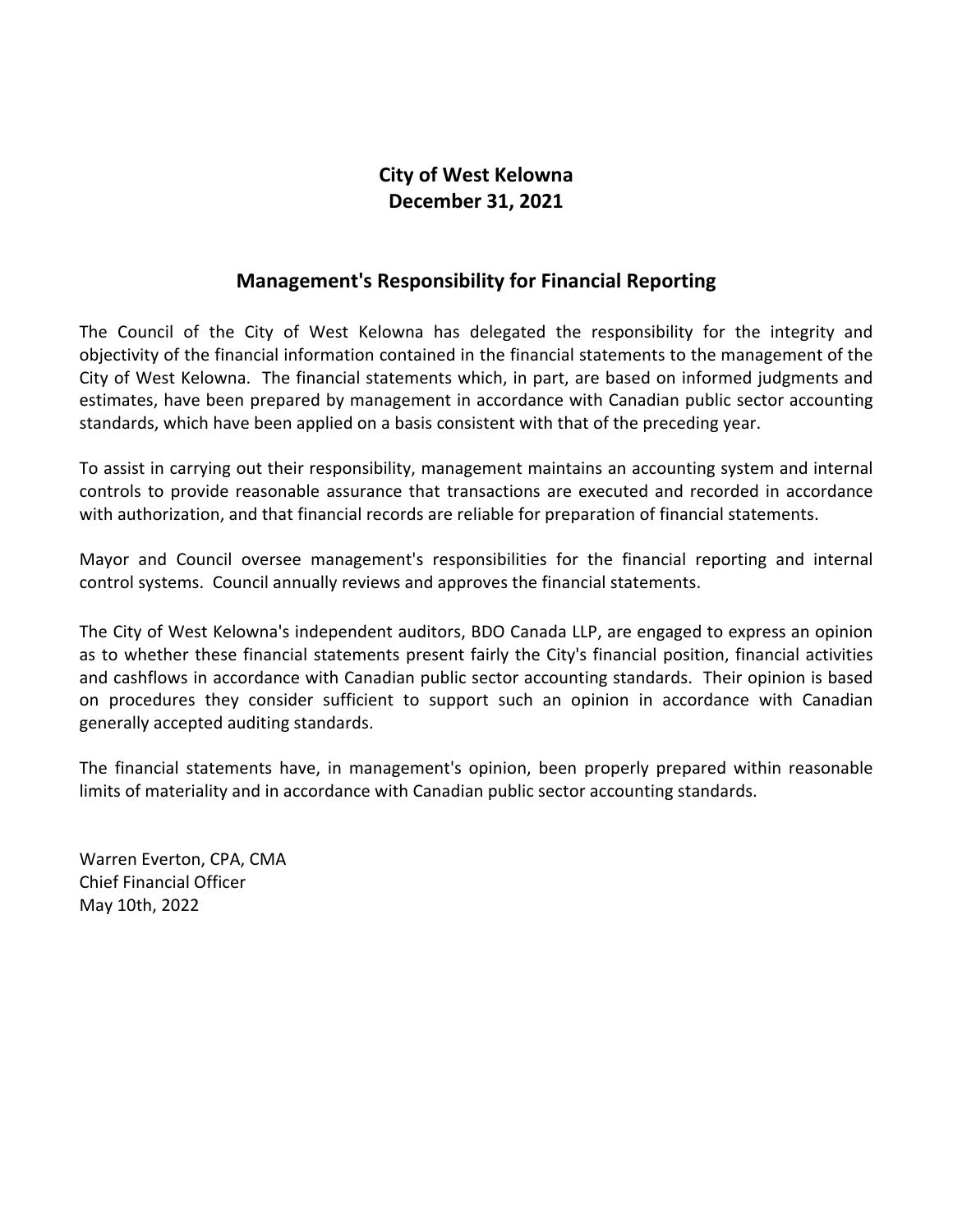## **City of West Kelowna December 31, 2021**

#### **Management's Responsibility for Financial Reporting**

The Council of the City of West Kelowna has delegated the responsibility for the integrity and objectivity of the financial information contained in the financial statements to the management of the City of West Kelowna. The financial statements which, in part, are based on informed judgments and estimates, have been prepared by management in accordance with Canadian public sector accounting standards, which have been applied on a basis consistent with that of the preceding year.

To assist in carrying out their responsibility, management maintains an accounting system and internal controls to provide reasonable assurance that transactions are executed and recorded in accordance with authorization, and that financial records are reliable for preparation of financial statements.

Mayor and Council oversee management's responsibilities for the financial reporting and internal control systems. Council annually reviews and approves the financial statements.

The City of West Kelowna's independent auditors, BDO Canada LLP, are engaged to express an opinion as to whether these financial statements present fairly the City's financial position, financial activities and cashflows in accordance with Canadian public sector accounting standards. Their opinion is based on procedures they consider sufficient to support such an opinion in accordance with Canadian generally accepted auditing standards.

The financial statements have, in management's opinion, been properly prepared within reasonable limits of materiality and in accordance with Canadian public sector accounting standards.

Warren Everton, CPA, CMA Chief Financial Officer May 10th, 2022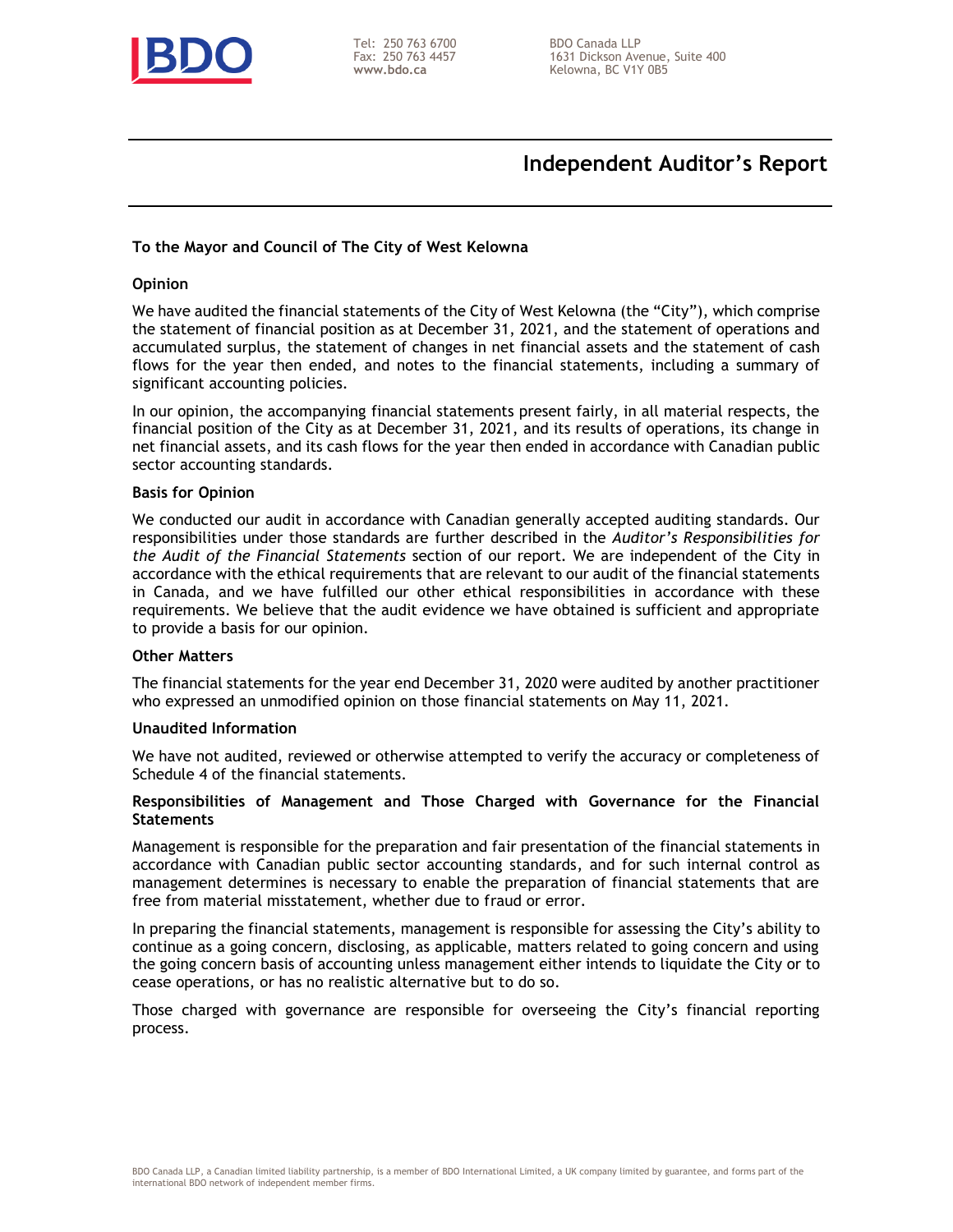

Tel: 250 763 6700 Fax: 250 763 4457 **www.bdo.ca**

BDO Canada LLP 1631 Dickson Avenue, Suite 400 Kelowna, BC V1Y 0B5

## **Independent Auditor's Report**

#### **To the Mayor and Council of The City of West Kelowna**

#### **Opinion**

We have audited the financial statements of the City of West Kelowna (the "City"), which comprise the statement of financial position as at December 31, 2021, and the statement of operations and accumulated surplus, the statement of changes in net financial assets and the statement of cash flows for the year then ended, and notes to the financial statements, including a summary of significant accounting policies.

In our opinion, the accompanying financial statements present fairly, in all material respects, the financial position of the City as at December 31, 2021, and its results of operations, its change in net financial assets, and its cash flows for the year then ended in accordance with Canadian public sector accounting standards.

#### **Basis for Opinion**

We conducted our audit in accordance with Canadian generally accepted auditing standards. Our responsibilities under those standards are further described in the *Auditor's Responsibilities for the Audit of the Financial Statements* section of our report. We are independent of the City in accordance with the ethical requirements that are relevant to our audit of the financial statements in Canada, and we have fulfilled our other ethical responsibilities in accordance with these requirements. We believe that the audit evidence we have obtained is sufficient and appropriate to provide a basis for our opinion.

#### **Other Matters**

The financial statements for the year end December 31, 2020 were audited by another practitioner who expressed an unmodified opinion on those financial statements on May 11, 2021.

#### **Unaudited Information**

We have not audited, reviewed or otherwise attempted to verify the accuracy or completeness of Schedule 4 of the financial statements.

#### **Responsibilities of Management and Those Charged with Governance for the Financial Statements**

Management is responsible for the preparation and fair presentation of the financial statements in accordance with Canadian public sector accounting standards, and for such internal control as management determines is necessary to enable the preparation of financial statements that are free from material misstatement, whether due to fraud or error.

In preparing the financial statements, management is responsible for assessing the City's ability to continue as a going concern, disclosing, as applicable, matters related to going concern and using the going concern basis of accounting unless management either intends to liquidate the City or to cease operations, or has no realistic alternative but to do so.

Those charged with governance are responsible for overseeing the City's financial reporting process.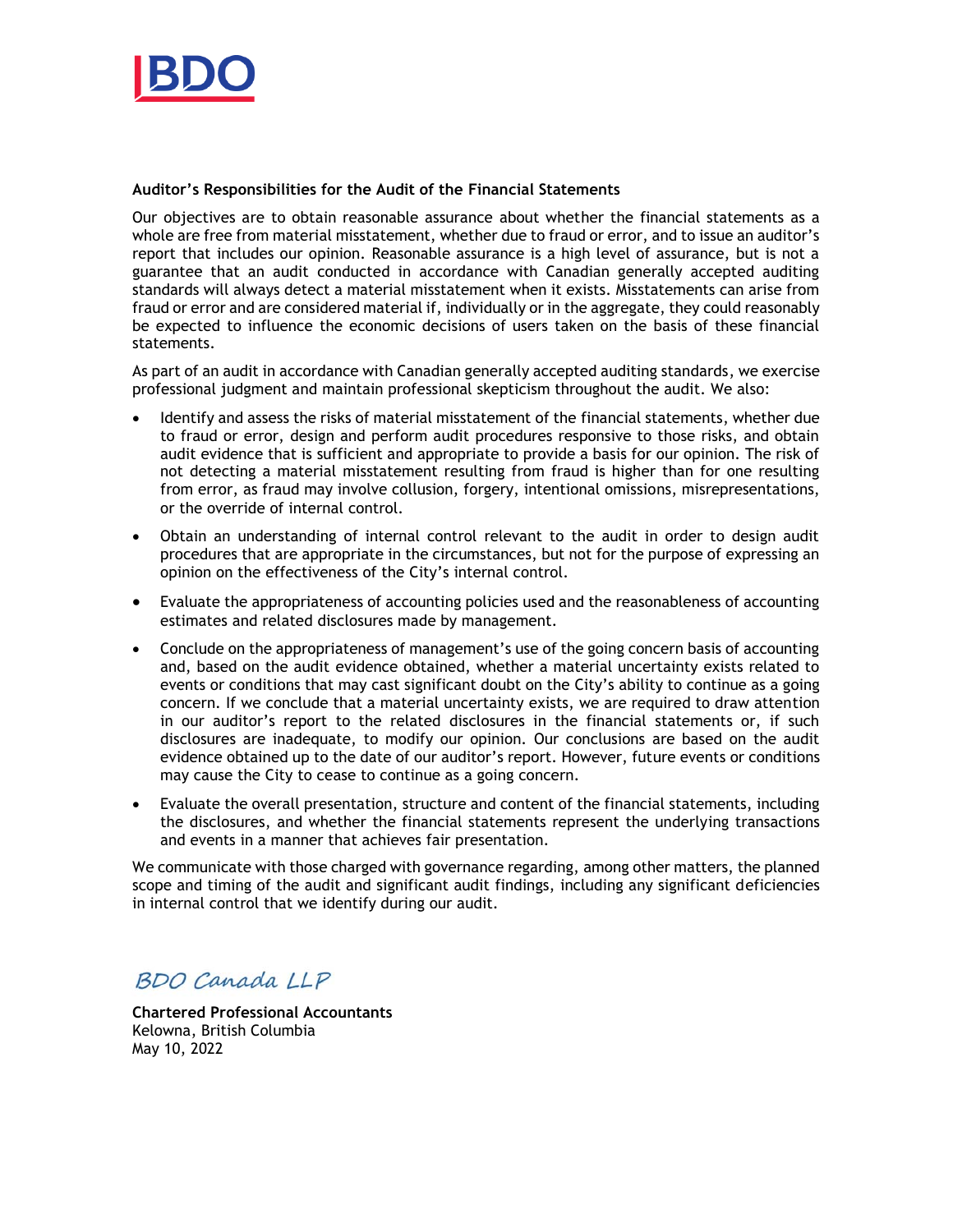

#### **Auditor's Responsibilities for the Audit of the Financial Statements**

Our objectives are to obtain reasonable assurance about whether the financial statements as a whole are free from material misstatement, whether due to fraud or error, and to issue an auditor's report that includes our opinion. Reasonable assurance is a high level of assurance, but is not a guarantee that an audit conducted in accordance with Canadian generally accepted auditing standards will always detect a material misstatement when it exists. Misstatements can arise from fraud or error and are considered material if, individually or in the aggregate, they could reasonably be expected to influence the economic decisions of users taken on the basis of these financial statements.

As part of an audit in accordance with Canadian generally accepted auditing standards, we exercise professional judgment and maintain professional skepticism throughout the audit. We also:

- Identify and assess the risks of material misstatement of the financial statements, whether due to fraud or error, design and perform audit procedures responsive to those risks, and obtain audit evidence that is sufficient and appropriate to provide a basis for our opinion. The risk of not detecting a material misstatement resulting from fraud is higher than for one resulting from error, as fraud may involve collusion, forgery, intentional omissions, misrepresentations, or the override of internal control.
- Obtain an understanding of internal control relevant to the audit in order to design audit procedures that are appropriate in the circumstances, but not for the purpose of expressing an opinion on the effectiveness of the City's internal control.
- Evaluate the appropriateness of accounting policies used and the reasonableness of accounting estimates and related disclosures made by management.
- Conclude on the appropriateness of management's use of the going concern basis of accounting and, based on the audit evidence obtained, whether a material uncertainty exists related to events or conditions that may cast significant doubt on the City's ability to continue as a going concern. If we conclude that a material uncertainty exists, we are required to draw attention in our auditor's report to the related disclosures in the financial statements or, if such disclosures are inadequate, to modify our opinion. Our conclusions are based on the audit evidence obtained up to the date of our auditor's report. However, future events or conditions may cause the City to cease to continue as a going concern.
- Evaluate the overall presentation, structure and content of the financial statements, including the disclosures, and whether the financial statements represent the underlying transactions and events in a manner that achieves fair presentation.

We communicate with those charged with governance regarding, among other matters, the planned scope and timing of the audit and significant audit findings, including any significant deficiencies in internal control that we identify during our audit.

BDO Canada LLP

**Chartered Professional Accountants** Kelowna, British Columbia May 10, 2022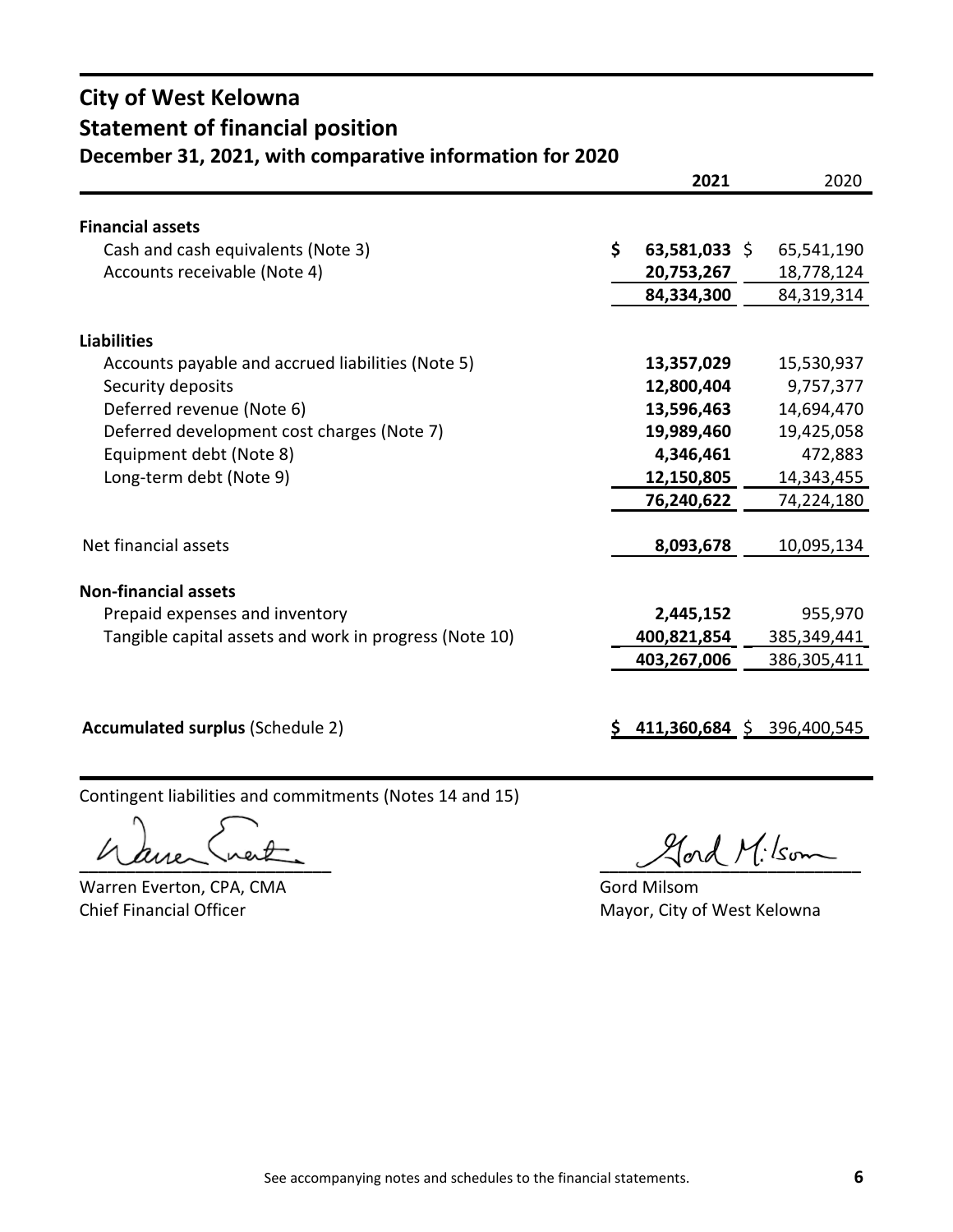## **City of West Kelowna Statement of financial position**

### **December 31, 2021, with comparative information for 2020**

|                                                        | 2021                  | 2020                       |
|--------------------------------------------------------|-----------------------|----------------------------|
|                                                        |                       |                            |
| <b>Financial assets</b>                                |                       |                            |
| Cash and cash equivalents (Note 3)                     | \$<br>$63,581,033$ \$ | 65,541,190                 |
| Accounts receivable (Note 4)                           | 20,753,267            | 18,778,124                 |
|                                                        | 84,334,300            | 84,319,314                 |
| <b>Liabilities</b>                                     |                       |                            |
| Accounts payable and accrued liabilities (Note 5)      | 13,357,029            |                            |
| Security deposits                                      | 12,800,404            | 15,530,937<br>9,757,377    |
| Deferred revenue (Note 6)                              | 13,596,463            | 14,694,470                 |
|                                                        |                       |                            |
| Deferred development cost charges (Note 7)             | 19,989,460            | 19,425,058                 |
| Equipment debt (Note 8)                                | 4,346,461             | 472,883                    |
| Long-term debt (Note 9)                                | 12,150,805            | 14,343,455                 |
|                                                        | 76,240,622            | 74,224,180                 |
| Net financial assets                                   | 8,093,678             | 10,095,134                 |
|                                                        |                       |                            |
| <b>Non-financial assets</b>                            |                       |                            |
| Prepaid expenses and inventory                         | 2,445,152             | 955,970                    |
| Tangible capital assets and work in progress (Note 10) | 400,821,854           | 385,349,441                |
|                                                        | 403,267,006           | 386,305,411                |
|                                                        |                       |                            |
|                                                        |                       |                            |
| <b>Accumulated surplus (Schedule 2)</b>                |                       | 411,360,684 \$ 396,400,545 |

Contingent liabilities and commitments (Notes 14 and 15)

Warren Everton, CPA, CMA Gord Milsom

 $2$ and M:1som

Chief Financial Officer **Mayor, City of West Kelowna**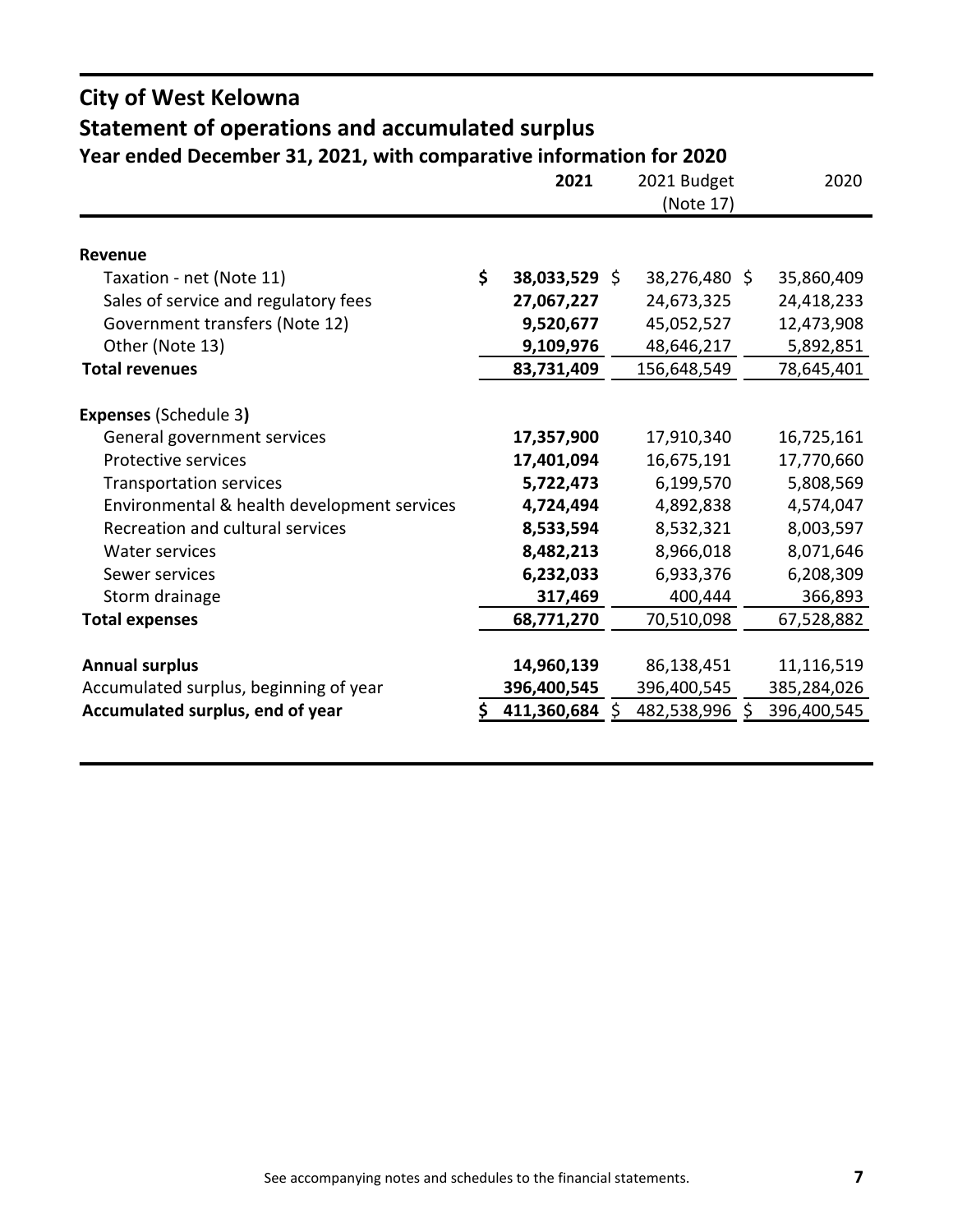| <b>Statement of operations and accumulated surplus</b>              |    |                 |  |                          |  |             |
|---------------------------------------------------------------------|----|-----------------|--|--------------------------|--|-------------|
| Year ended December 31, 2021, with comparative information for 2020 |    | 2021            |  | 2021 Budget<br>(Note 17) |  | 2020        |
| <b>Revenue</b>                                                      |    |                 |  |                          |  |             |
| Taxation - net (Note 11)                                            | \$ | $38,033,529$ \$ |  | 38,276,480 \$            |  | 35,860,409  |
| Sales of service and regulatory fees                                |    | 27,067,227      |  | 24,673,325               |  | 24,418,233  |
| Government transfers (Note 12)                                      |    | 9,520,677       |  | 45,052,527               |  | 12,473,908  |
| Other (Note 13)                                                     |    |                 |  |                          |  |             |
| <b>Total revenues</b>                                               |    | 9,109,976       |  | 48,646,217               |  | 5,892,851   |
|                                                                     |    | 83,731,409      |  | 156,648,549              |  | 78,645,401  |
| <b>Expenses (Schedule 3)</b>                                        |    |                 |  |                          |  |             |
| General government services                                         |    | 17,357,900      |  | 17,910,340               |  | 16,725,161  |
| Protective services                                                 |    | 17,401,094      |  | 16,675,191               |  | 17,770,660  |
| <b>Transportation services</b>                                      |    | 5,722,473       |  | 6,199,570                |  | 5,808,569   |
| Environmental & health development services                         |    | 4,724,494       |  | 4,892,838                |  | 4,574,047   |
| Recreation and cultural services                                    |    | 8,533,594       |  | 8,532,321                |  | 8,003,597   |
| <b>Water services</b>                                               |    | 8,482,213       |  | 8,966,018                |  | 8,071,646   |
| Sewer services                                                      |    | 6,232,033       |  | 6,933,376                |  | 6,208,309   |
| Storm drainage                                                      |    | 317,469         |  | 400,444                  |  | 366,893     |
| <b>Total expenses</b>                                               |    | 68,771,270      |  | 70,510,098               |  | 67,528,882  |
|                                                                     |    |                 |  |                          |  |             |
| <b>Annual surplus</b>                                               |    | 14,960,139      |  | 86,138,451               |  | 11,116,519  |
| Accumulated surplus, beginning of year                              |    | 396,400,545     |  | 396,400,545              |  | 385,284,026 |
| Accumulated surplus, end of year                                    |    | 411,360,684     |  | 482,538,996              |  | 396,400,545 |
|                                                                     |    |                 |  |                          |  |             |

# **City of West Kelowna**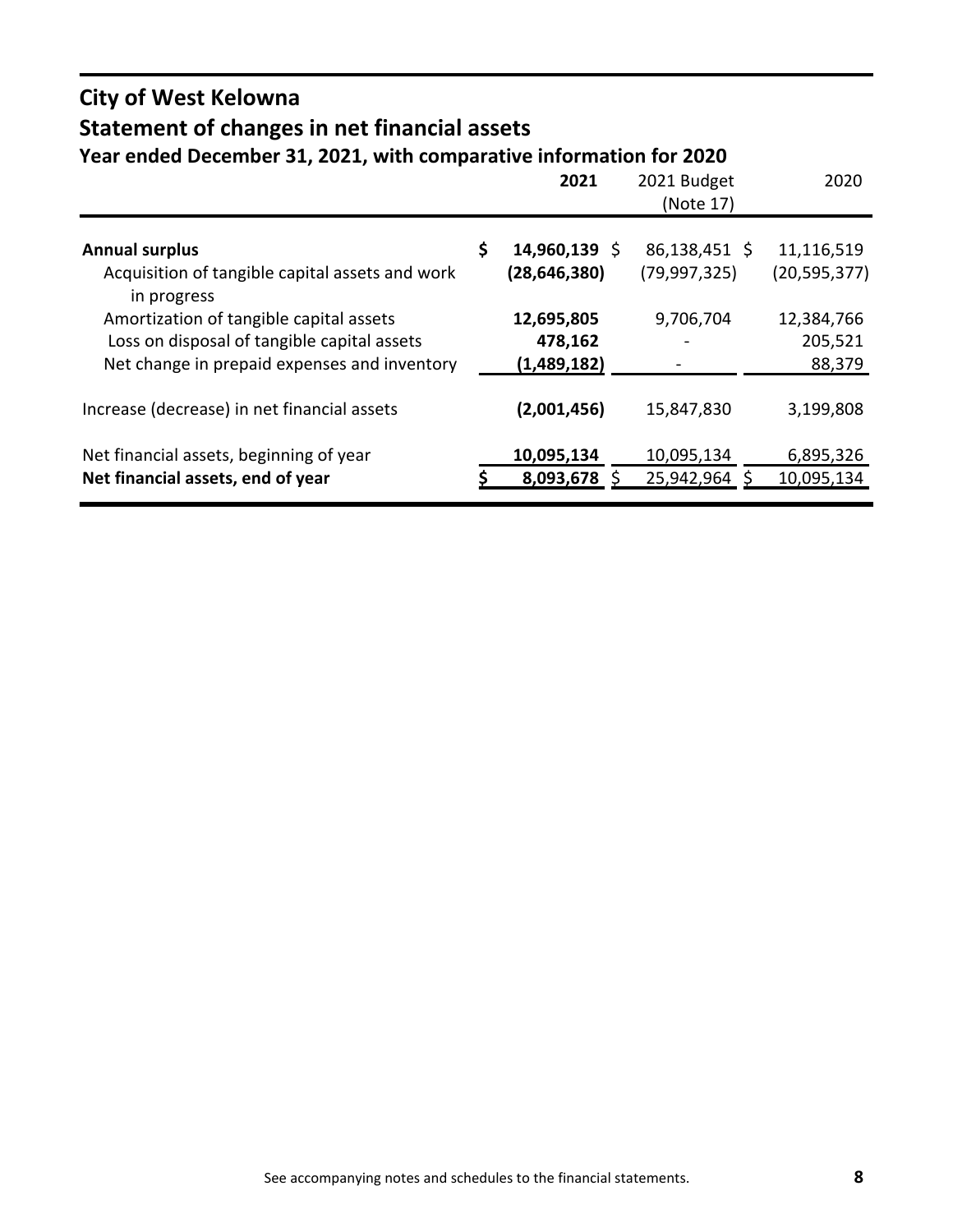# **City of West Kelowna Statement of changes in net financial assets**

|                                                                                                                                        | 2021                                    | 2021 Budget<br>(Note 17)        | 2020                            |
|----------------------------------------------------------------------------------------------------------------------------------------|-----------------------------------------|---------------------------------|---------------------------------|
| <b>Annual surplus</b><br>Acquisition of tangible capital assets and work<br>in progress                                                | \$<br>$14,960,139$ \$<br>(28, 646, 380) | 86,138,451 \$<br>(79, 997, 325) | 11,116,519<br>(20, 595, 377)    |
| Amortization of tangible capital assets<br>Loss on disposal of tangible capital assets<br>Net change in prepaid expenses and inventory | 12,695,805<br>478,162<br>(1,489,182)    | 9,706,704                       | 12,384,766<br>205,521<br>88,379 |
| Increase (decrease) in net financial assets                                                                                            | (2,001,456)                             | 15,847,830                      | 3,199,808                       |
| Net financial assets, beginning of year<br>Net financial assets, end of year                                                           | 10,095,134<br>$8,093,678$ \$            | 10,095,134<br>25,942,964        | 6,895,326<br>10,095,134         |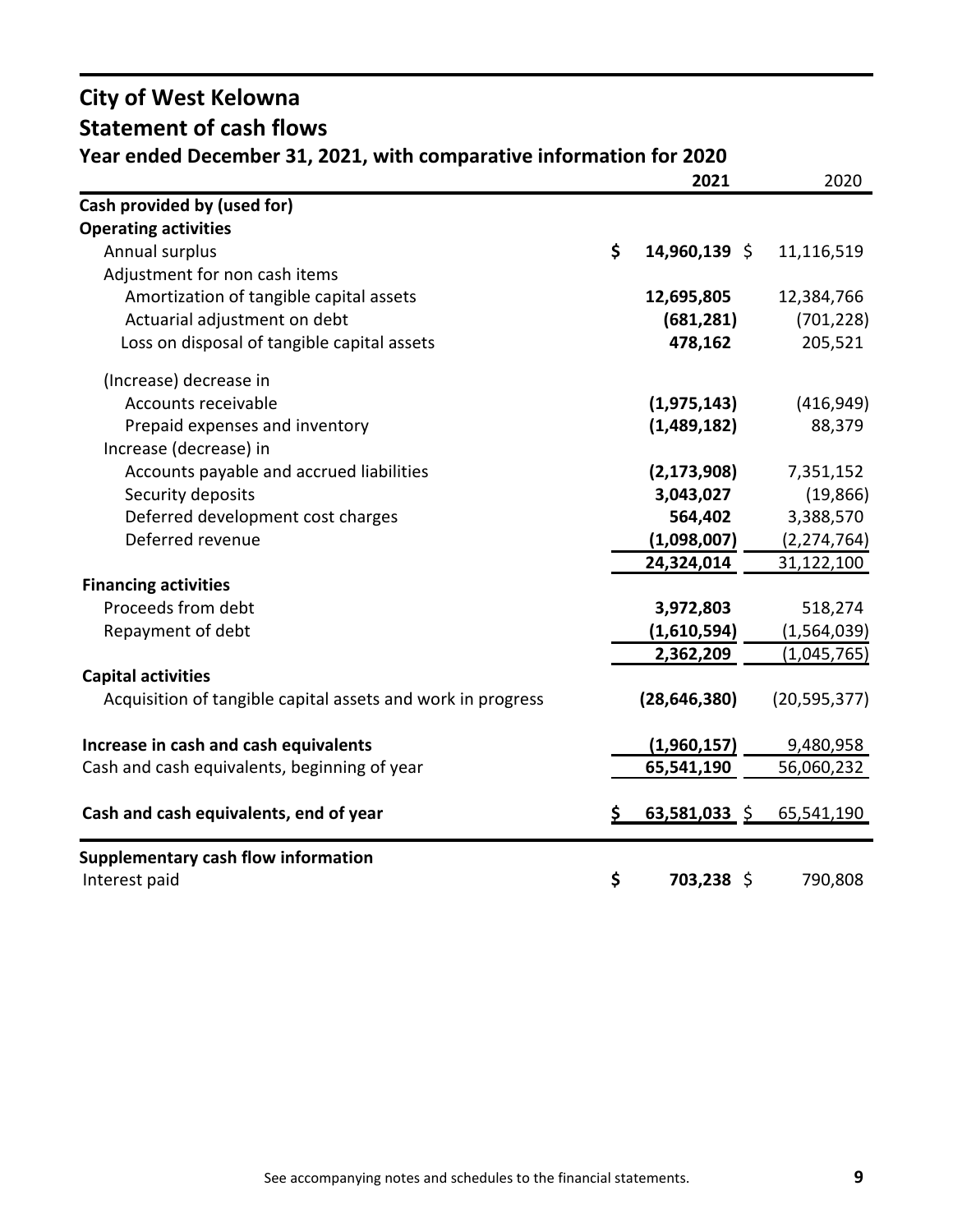## **City of West Kelowna Statement of cash flows**

|                                                             | 2021                  | 2020           |
|-------------------------------------------------------------|-----------------------|----------------|
| Cash provided by (used for)                                 |                       |                |
| <b>Operating activities</b>                                 |                       |                |
| Annual surplus                                              | \$<br>$14,960,139$ \$ | 11,116,519     |
| Adjustment for non cash items                               |                       |                |
| Amortization of tangible capital assets                     | 12,695,805            | 12,384,766     |
| Actuarial adjustment on debt                                | (681, 281)            | (701, 228)     |
| Loss on disposal of tangible capital assets                 | 478,162               | 205,521        |
| (Increase) decrease in                                      |                       |                |
| Accounts receivable                                         | (1,975,143)           | (416, 949)     |
| Prepaid expenses and inventory                              | (1,489,182)           | 88,379         |
| Increase (decrease) in                                      |                       |                |
| Accounts payable and accrued liabilities                    | (2, 173, 908)         | 7,351,152      |
| Security deposits                                           | 3,043,027             | (19, 866)      |
| Deferred development cost charges                           | 564,402               | 3,388,570      |
| Deferred revenue                                            | (1,098,007)           | (2, 274, 764)  |
|                                                             | 24,324,014            | 31,122,100     |
| <b>Financing activities</b>                                 |                       |                |
| Proceeds from debt                                          | 3,972,803             | 518,274        |
| Repayment of debt                                           | (1,610,594)           | (1,564,039)    |
|                                                             | 2,362,209             | (1,045,765)    |
| <b>Capital activities</b>                                   |                       |                |
| Acquisition of tangible capital assets and work in progress | (28, 646, 380)        | (20, 595, 377) |
| Increase in cash and cash equivalents                       | (1,960,157)           | 9,480,958      |
| Cash and cash equivalents, beginning of year                | 65,541,190            | 56,060,232     |
|                                                             |                       |                |
| Cash and cash equivalents, end of year                      | \$<br>63,581,033 \$   | 65,541,190     |
| <b>Supplementary cash flow information</b>                  |                       |                |
| Interest paid                                               | \$<br>$703,238$ \$    | 790,808        |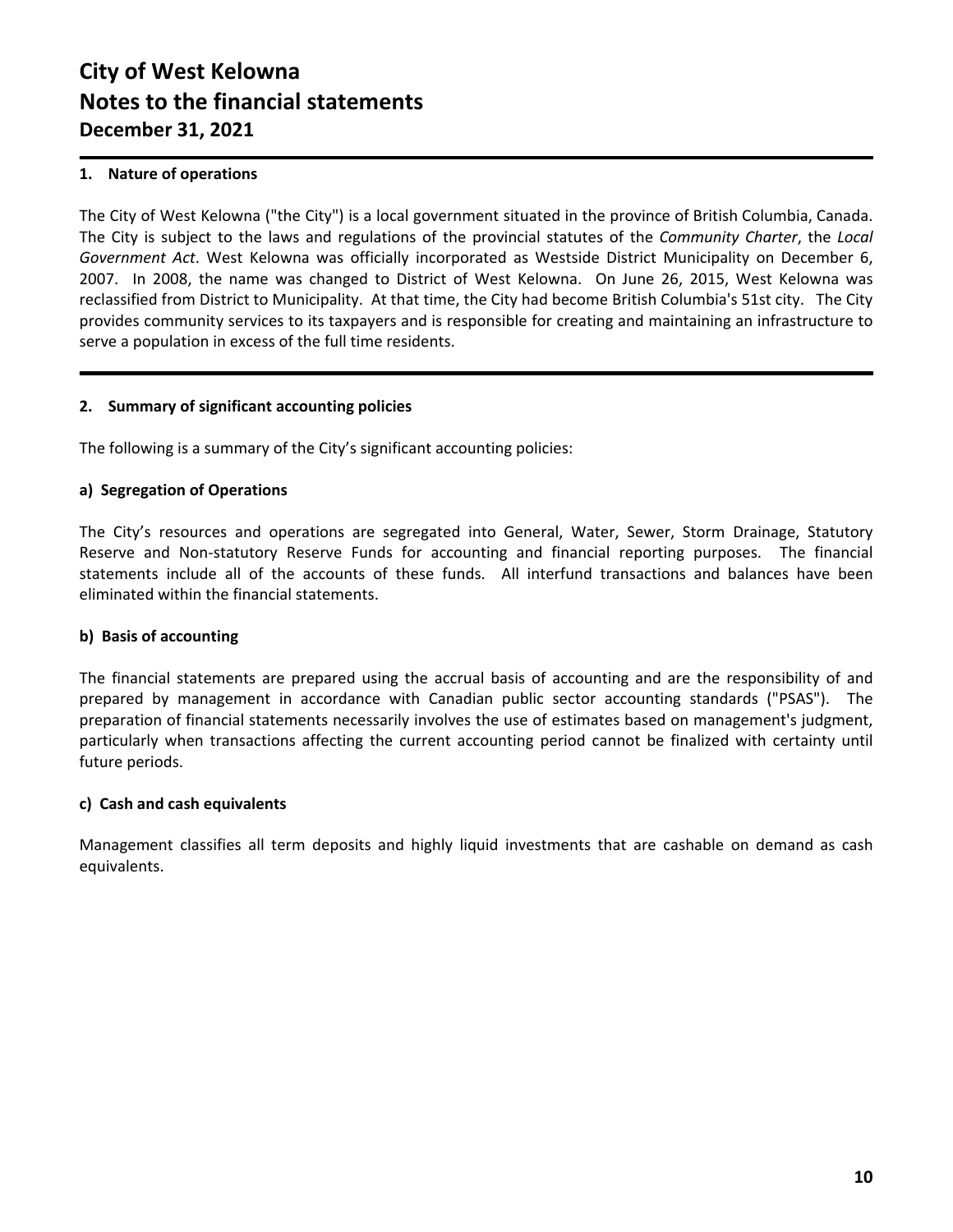#### **1. Nature of operations**

The City of West Kelowna ("the City") is a local government situated in the province of British Columbia, Canada. The City is subject to the laws and regulations of the provincial statutes of the *Community Charter*, the *Local Government Act*. West Kelowna was officially incorporated as Westside District Municipality on December 6, 2007. In 2008, the name was changed to District of West Kelowna. On June 26, 2015, West Kelowna was reclassified from District to Municipality. At that time, the City had become British Columbia's 51st city. The City provides community services to its taxpayers and is responsible for creating and maintaining an infrastructure to serve a population in excess of the full time residents.

#### **2. Summary of significant accounting policies**

The following is a summary of the City's significant accounting policies:

#### **a) Segregation of Operations**

The City's resources and operations are segregated into General, Water, Sewer, Storm Drainage, Statutory Reserve and Non-statutory Reserve Funds for accounting and financial reporting purposes. The financial statements include all of the accounts of these funds. All interfund transactions and balances have been eliminated within the financial statements.

#### **b) Basis of accounting**

The financial statements are prepared using the accrual basis of accounting and are the responsibility of and prepared by management in accordance with Canadian public sector accounting standards ("PSAS"). The preparation of financial statements necessarily involves the use of estimates based on management's judgment, particularly when transactions affecting the current accounting period cannot be finalized with certainty until future periods.

#### **c) Cash and cash equivalents**

Management classifies all term deposits and highly liquid investments that are cashable on demand as cash equivalents.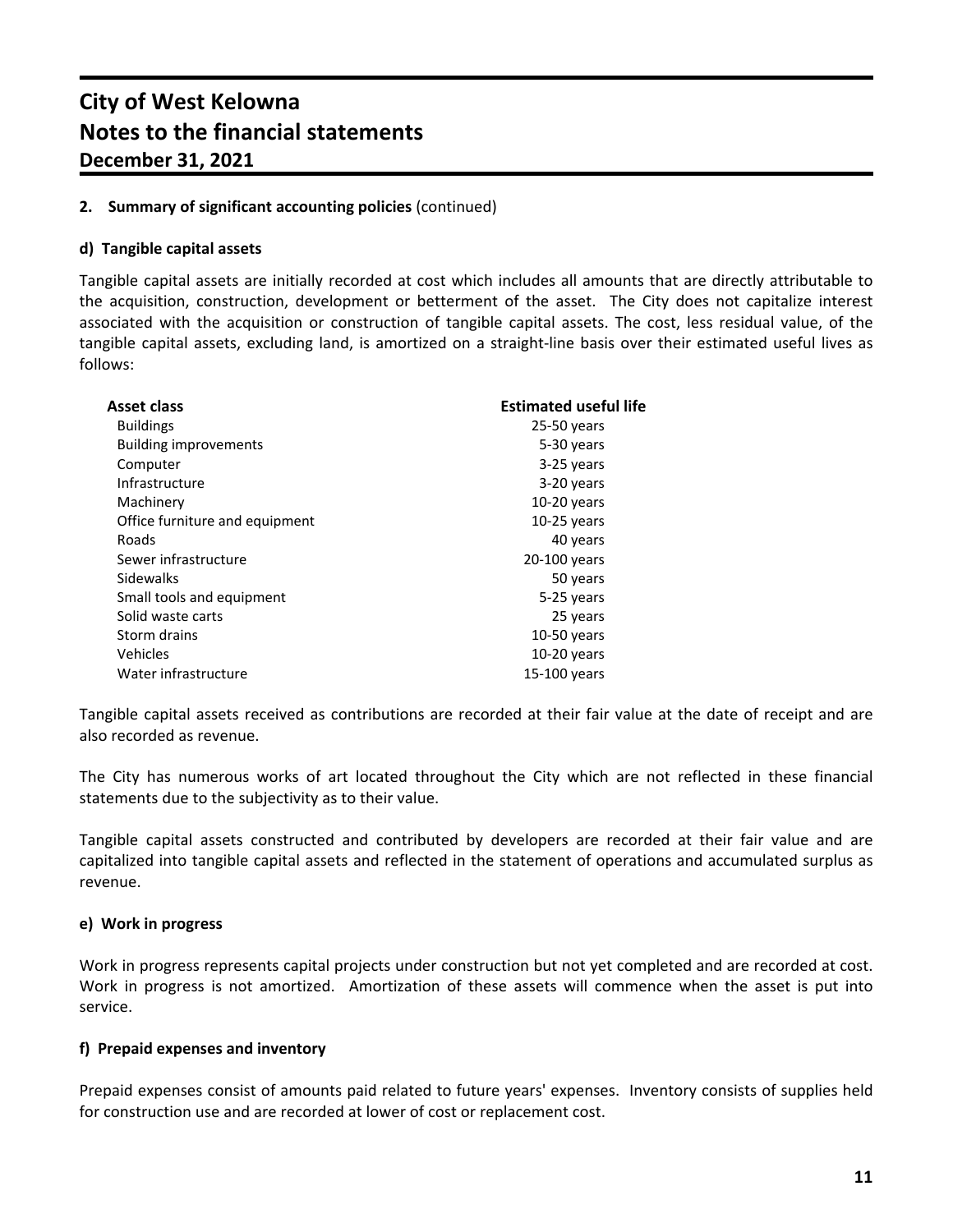#### **2. Summary of significant accounting policies** (continued)

#### **d) Tangible capital assets**

Tangible capital assets are initially recorded at cost which includes all amounts that are directly attributable to the acquisition, construction, development or betterment of the asset. The City does not capitalize interest associated with the acquisition or construction of tangible capital assets. The cost, less residual value, of the tangible capital assets, excluding land, is amortized on a straight-line basis over their estimated useful lives as follows:

| Asset class                    | <b>Estimated useful life</b> |
|--------------------------------|------------------------------|
| <b>Buildings</b>               | 25-50 years                  |
| <b>Building improvements</b>   | 5-30 years                   |
| Computer                       | 3-25 years                   |
| Infrastructure                 | 3-20 years                   |
| Machinery                      | $10-20$ years                |
| Office furniture and equipment | $10-25$ years                |
| Roads                          | 40 years                     |
| Sewer infrastructure           | 20-100 years                 |
| Sidewalks                      | 50 years                     |
| Small tools and equipment      | 5-25 years                   |
| Solid waste carts              | 25 years                     |
| Storm drains                   | $10-50$ years                |
| Vehicles                       | 10-20 years                  |
| Water infrastructure           | 15-100 years                 |
|                                |                              |

Tangible capital assets received as contributions are recorded at their fair value at the date of receipt and are also recorded as revenue.

The City has numerous works of art located throughout the City which are not reflected in these financial statements due to the subjectivity as to their value.

Tangible capital assets constructed and contributed by developers are recorded at their fair value and are capitalized into tangible capital assets and reflected in the statement of operations and accumulated surplus as revenue.

#### **e) Work in progress**

Work in progress represents capital projects under construction but not yet completed and are recorded at cost. Work in progress is not amortized. Amortization of these assets will commence when the asset is put into service.

#### **f) Prepaid expenses and inventory**

Prepaid expenses consist of amounts paid related to future years' expenses. Inventory consists of supplies held for construction use and are recorded at lower of cost or replacement cost.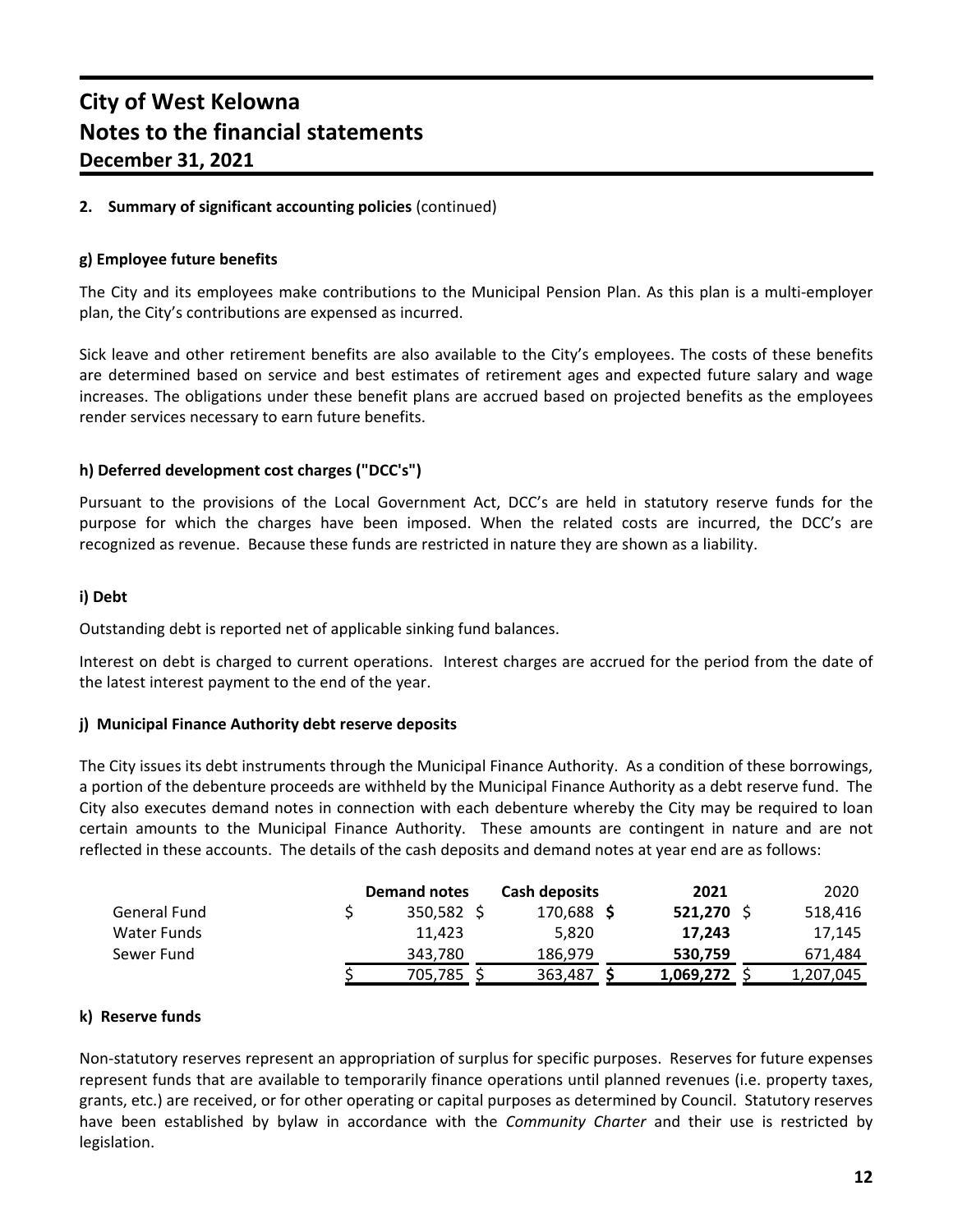#### **2. Summary of significant accounting policies** (continued)

#### **g) Employee future benefits**

The City and its employees make contributions to the Municipal Pension Plan. As this plan is a multi-employer plan, the City's contributions are expensed as incurred.

Sick leave and other retirement benefits are also available to the City's employees. The costs of these benefits are determined based on service and best estimates of retirement ages and expected future salary and wage increases. The obligations under these benefit plans are accrued based on projected benefits as the employees render services necessary to earn future benefits.

#### **h) Deferred development cost charges ("DCC's")**

Pursuant to the provisions of the Local Government Act, DCC's are held in statutory reserve funds for the purpose for which the charges have been imposed. When the related costs are incurred, the DCC's are recognized as revenue. Because these funds are restricted in nature they are shown as a liability.

#### **i) Debt**

Outstanding debt is reported net of applicable sinking fund balances.

Interest on debt is charged to current operations. Interest charges are accrued for the period from the date of the latest interest payment to the end of the year.

#### **j) Municipal Finance Authority debt reserve deposits**

The City issues its debt instruments through the Municipal Finance Authority. As a condition of these borrowings, a portion of the debenture proceeds are withheld by the Municipal Finance Authority as a debt reserve fund. The City also executes demand notes in connection with each debenture whereby the City may be required to loan certain amounts to the Municipal Finance Authority. These amounts are contingent in nature and are not reflected in these accounts. The details of the cash deposits and demand notes at year end are as follows:

|              | <b>Demand notes</b> | Cash deposits | 2021         | 2020      |
|--------------|---------------------|---------------|--------------|-----------|
| General Fund | 350.582 S           | 170,688       | $521,270$ \$ | 518,416   |
| Water Funds  | 11.423              | 5.820         | 17.243       | 17,145    |
| Sewer Fund   | 343,780             | 186.979       | 530,759      | 671,484   |
|              | 705.785             | 363,487       | 1,069,272    | 1,207,045 |

#### **k) Reserve funds**

Non-statutory reserves represent an appropriation of surplus for specific purposes. Reserves for future expenses represent funds that are available to temporarily finance operations until planned revenues (i.e. property taxes, grants, etc.) are received, or for other operating or capital purposes as determined by Council. Statutory reserves have been established by bylaw in accordance with the *Community Charter* and their use is restricted by legislation.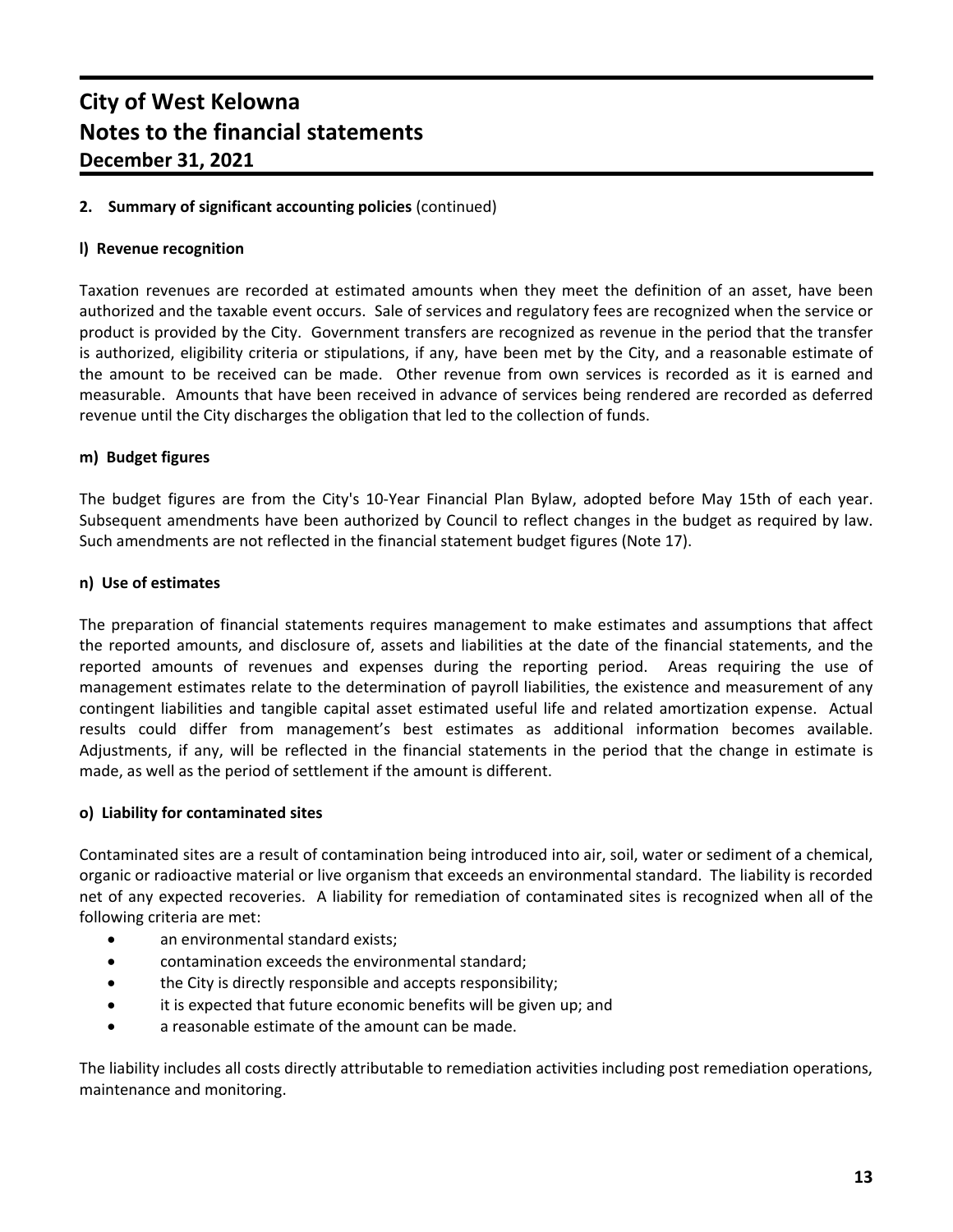#### **2. Summary of significant accounting policies** (continued)

#### **l) Revenue recognition**

Taxation revenues are recorded at estimated amounts when they meet the definition of an asset, have been authorized and the taxable event occurs. Sale of services and regulatory fees are recognized when the service or product is provided by the City. Government transfers are recognized as revenue in the period that the transfer is authorized, eligibility criteria or stipulations, if any, have been met by the City, and a reasonable estimate of the amount to be received can be made. Other revenue from own services is recorded as it is earned and measurable. Amounts that have been received in advance of services being rendered are recorded as deferred revenue until the City discharges the obligation that led to the collection of funds.

#### **m) Budget figures**

The budget figures are from the City's 10-Year Financial Plan Bylaw, adopted before May 15th of each year. Subsequent amendments have been authorized by Council to reflect changes in the budget as required by law. Such amendments are not reflected in the financial statement budget figures (Note 17).

#### **n) Use of estimates**

The preparation of financial statements requires management to make estimates and assumptions that affect the reported amounts, and disclosure of, assets and liabilities at the date of the financial statements, and the reported amounts of revenues and expenses during the reporting period. Areas requiring the use of management estimates relate to the determination of payroll liabilities, the existence and measurement of any contingent liabilities and tangible capital asset estimated useful life and related amortization expense. Actual results could differ from management's best estimates as additional information becomes available. Adjustments, if any, will be reflected in the financial statements in the period that the change in estimate is made, as well as the period of settlement if the amount is different.

#### **o) Liability for contaminated sites**

Contaminated sites are a result of contamination being introduced into air, soil, water or sediment of a chemical, organic or radioactive material or live organism that exceeds an environmental standard. The liability is recorded net of any expected recoveries. A liability for remediation of contaminated sites is recognized when all of the following criteria are met:

- an environmental standard exists;
- contamination exceeds the environmental standard;
- the City is directly responsible and accepts responsibility;
- it is expected that future economic benefits will be given up; and
- a reasonable estimate of the amount can be made.

The liability includes all costs directly attributable to remediation activities including post remediation operations, maintenance and monitoring.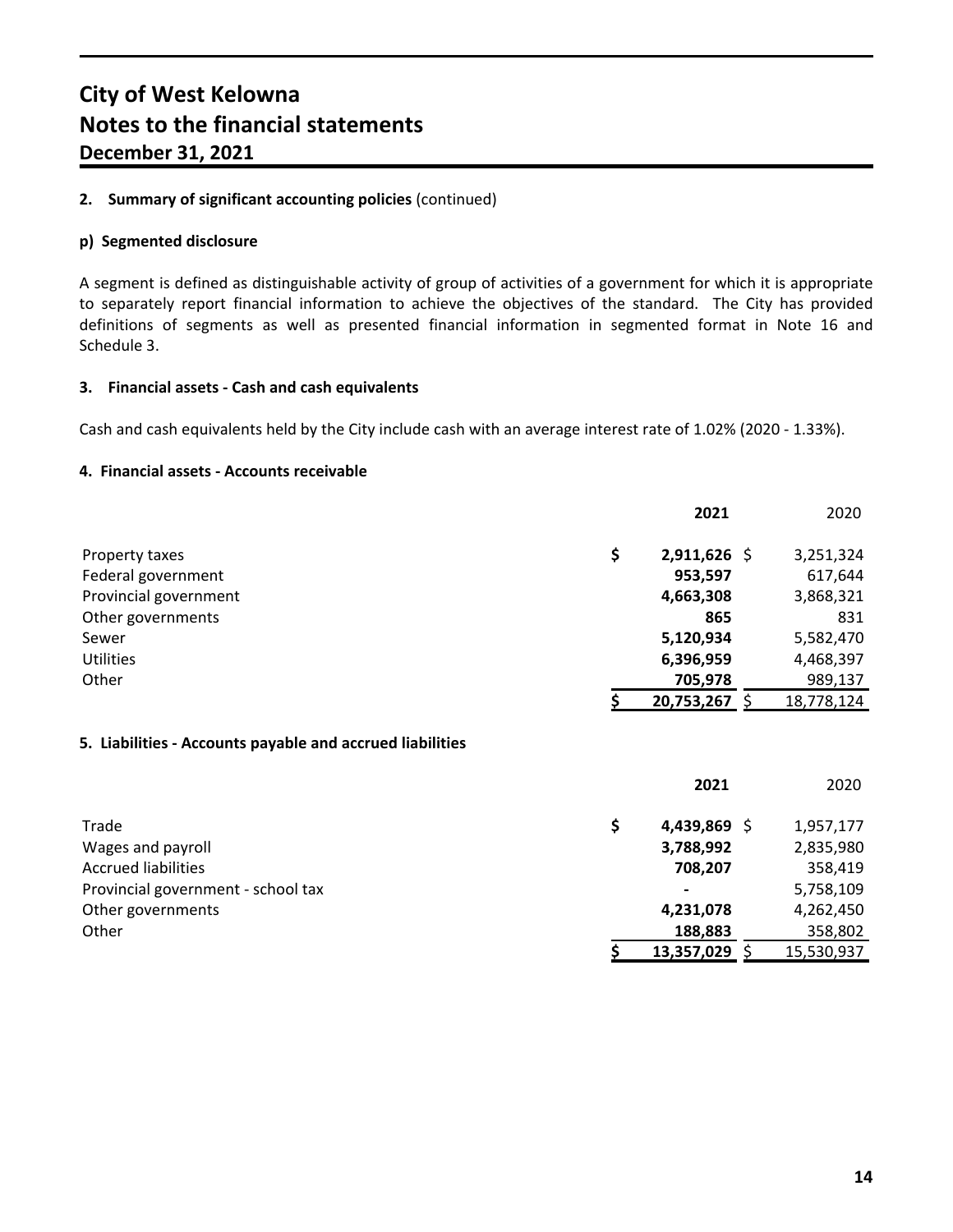#### **2. Summary of significant accounting policies** (continued)

#### **p) Segmented disclosure**

A segment is defined as distinguishable activity of group of activities of a government for which it is appropriate to separately report financial information to achieve the objectives of the standard. The City has provided definitions of segments as well as presented financial information in segmented format in Note 16 and Schedule 3.

#### **3. Financial assets - Cash and cash equivalents**

Cash and cash equivalents held by the City include cash with an average interest rate of 1.02% (2020 - 1.33%).

#### **4. Financial assets - Accounts receivable**

|                       | 2021                 | 2020       |
|-----------------------|----------------------|------------|
| Property taxes        | \$<br>$2,911,626$ \$ | 3,251,324  |
| Federal government    | 953,597              | 617,644    |
| Provincial government | 4,663,308            | 3,868,321  |
| Other governments     | 865                  | 831        |
| Sewer                 | 5,120,934            | 5,582,470  |
| <b>Utilities</b>      | 6,396,959            | 4,468,397  |
| Other                 | 705,978              | 989,137    |
|                       | 20,753,267           | 18,778,124 |

#### **5. Liabilities - Accounts payable and accrued liabilities**

|                                    | 2021            | 2020       |
|------------------------------------|-----------------|------------|
| Trade                              | \$<br>4,439,869 | 1,957,177  |
| Wages and payroll                  | 3,788,992       | 2,835,980  |
| <b>Accrued liabilities</b>         | 708,207         | 358,419    |
| Provincial government - school tax |                 | 5,758,109  |
| Other governments                  | 4,231,078       | 4,262,450  |
| Other                              | 188,883         | 358,802    |
|                                    | 13,357,029      | 15,530,937 |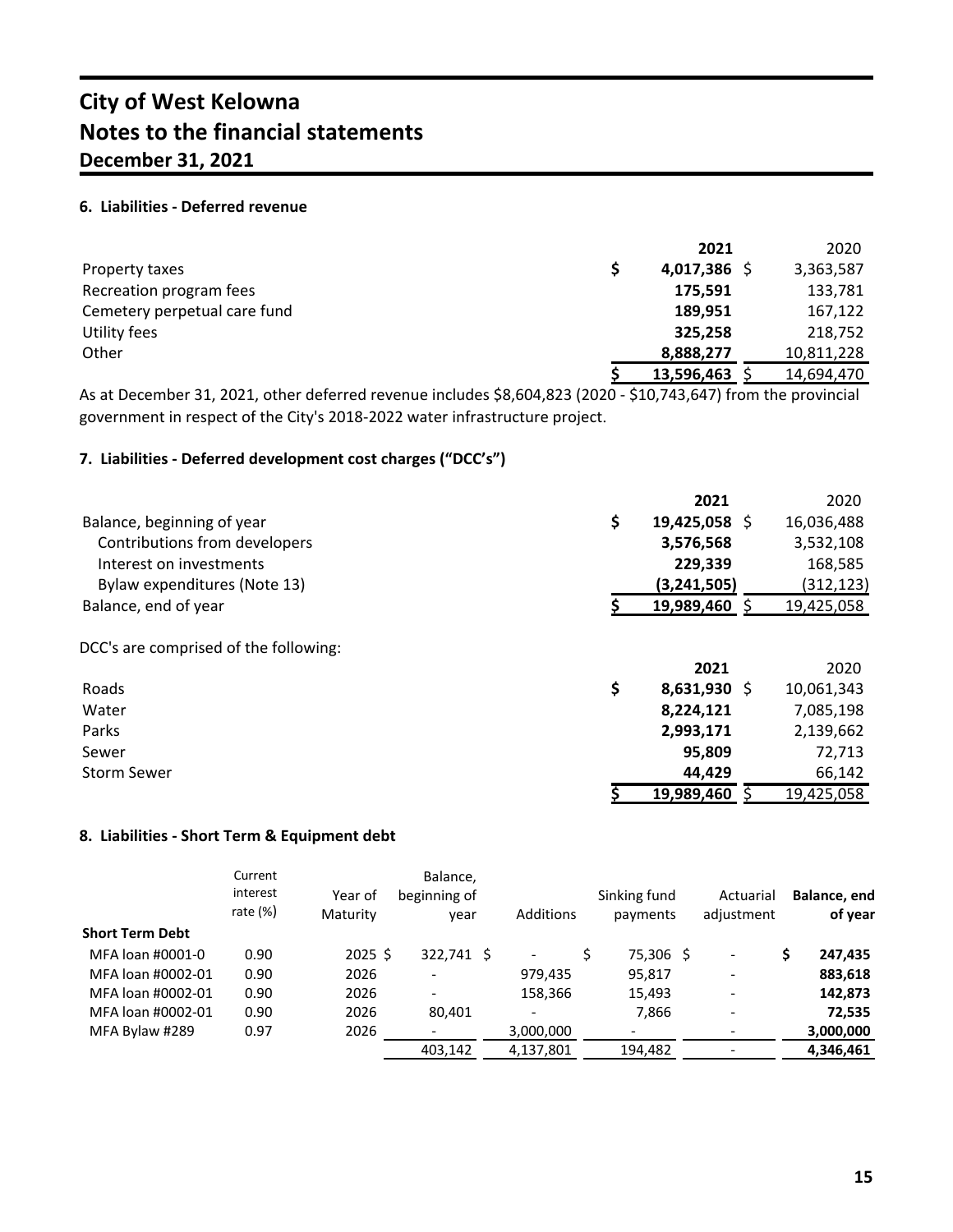#### **6. Liabilities - Deferred revenue**

|                              | 2021       | 2020       |
|------------------------------|------------|------------|
| Property taxes               | 4,017,386  | 3,363,587  |
| Recreation program fees      | 175,591    | 133,781    |
| Cemetery perpetual care fund | 189,951    | 167,122    |
| Utility fees                 | 325,258    | 218,752    |
| Other                        | 8,888,277  | 10,811,228 |
|                              | 13,596,463 | 14,694,470 |

As at December 31, 2021, other deferred revenue includes \$8,604,823 (2020 - \$10,743,647) from the provincial government in respect of the City's 2018-2022 water infrastructure project.

#### **7. Liabilities - Deferred development cost charges ("DCC's")**

|                                       | 2021                  | 2020       |
|---------------------------------------|-----------------------|------------|
| Balance, beginning of year            | \$<br>$19,425,058$ \$ | 16,036,488 |
| Contributions from developers         | 3,576,568             | 3,532,108  |
| Interest on investments               | 229,339               | 168,585    |
| Bylaw expenditures (Note 13)          | (3,241,505)           | (312, 123) |
| Balance, end of year                  | 19,989,460            | 19,425,058 |
| DCC's are comprised of the following: | 2021                  | 2020       |
| Roads                                 | \$<br>$8,631,930$ \$  | 10,061,343 |
| Water                                 | 8,224,121             | 7,085,198  |
| Parks                                 | 2,993,171             | 2,139,662  |
| Sewer                                 | 95,809                | 72,713     |
| <b>Storm Sewer</b>                    | 44,429                | 66,142     |
|                                       | 19,989,460            | 19,425,058 |

#### **8. Liabilities - Short Term & Equipment debt**

|                        | Current<br>interest<br>rate $(\%)$ | Year of<br>Maturity | Balance,<br>beginning of<br>year | Additions                |   | Sinking fund<br>payments | Actuarial<br>adjustment  | Balance, end<br>of year |
|------------------------|------------------------------------|---------------------|----------------------------------|--------------------------|---|--------------------------|--------------------------|-------------------------|
| <b>Short Term Debt</b> |                                    |                     |                                  |                          |   |                          |                          |                         |
| MFA loan #0001-0       | 0.90                               | $2025$ \$           | 322,741 \$                       |                          | Ś | 75,306 \$                |                          | \$<br>247,435           |
| MFA loan #0002-01      | 0.90                               | 2026                |                                  | 979,435                  |   | 95,817                   |                          | 883,618                 |
| MFA loan #0002-01      | 0.90                               | 2026                |                                  | 158,366                  |   | 15,493                   | $\overline{\phantom{0}}$ | 142,873                 |
| MFA loan #0002-01      | 0.90                               | 2026                | 80,401                           | $\overline{\phantom{a}}$ |   | 7,866                    |                          | 72,535                  |
| MFA Bylaw #289         | 0.97                               | 2026                |                                  | 3,000,000                |   |                          |                          | 3,000,000               |
|                        |                                    |                     | 403,142                          | 4,137,801                |   | 194,482                  |                          | 4,346,461               |
|                        |                                    |                     |                                  |                          |   |                          |                          |                         |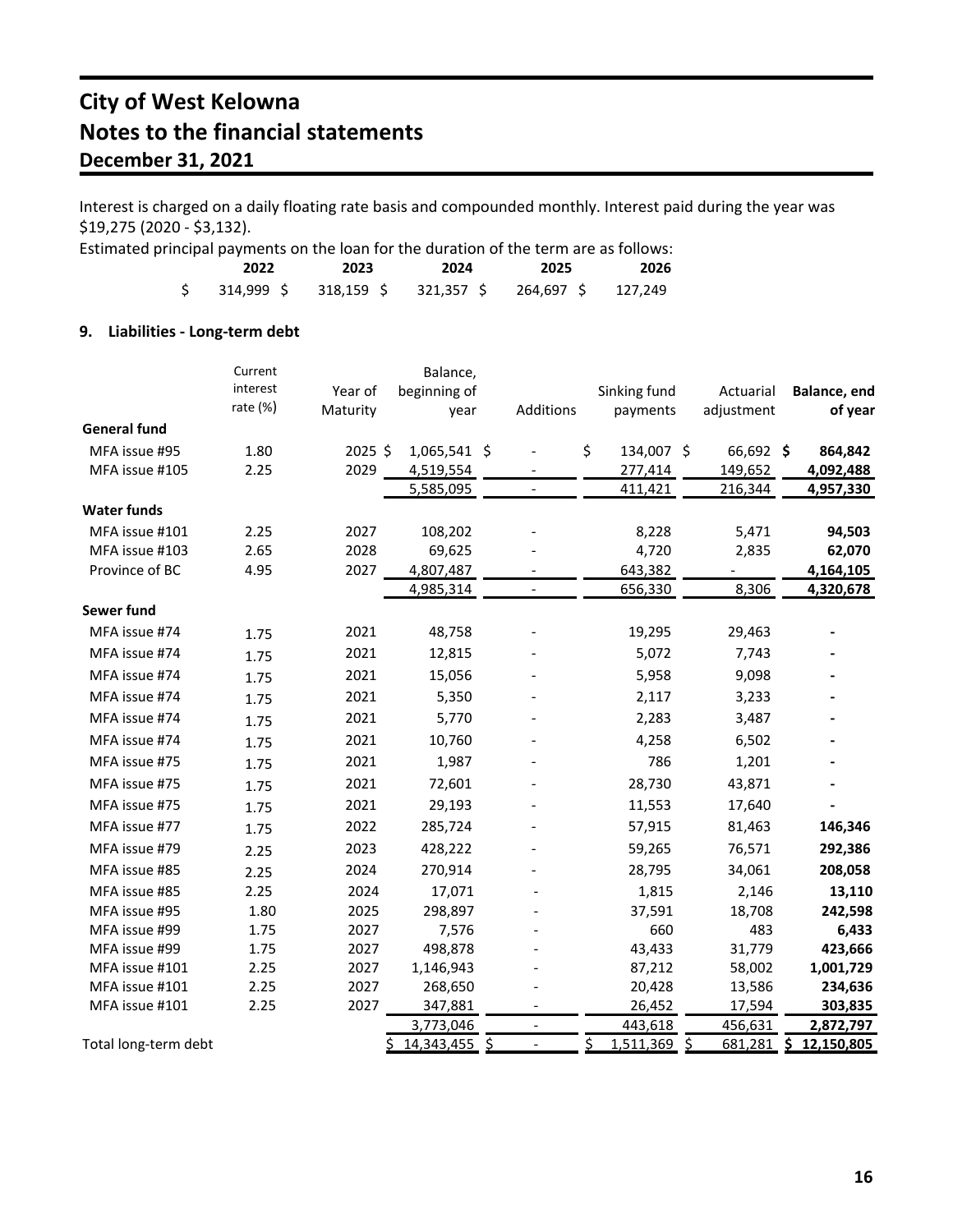Interest is charged on a daily floating rate basis and compounded monthly. Interest paid during the year was \$19,275 (2020 - \$3,132).

Estimated principal payments on the loan for the duration of the term are as follows:

| 2022       | 2023       | 2024       | 2025       | 2026    |
|------------|------------|------------|------------|---------|
| 314,999 \$ | 318,159 \$ | 321,357 \$ | 264,697 \$ | 127.249 |

#### **9. Liabilities - Long-term debt**

|                      | Current     |          | Balance,      |                          |                      |            |                      |
|----------------------|-------------|----------|---------------|--------------------------|----------------------|------------|----------------------|
|                      | interest    | Year of  | beginning of  |                          | Sinking fund         | Actuarial  | Balance, end         |
|                      | rate $(\%)$ | Maturity | year          | Additions                | payments             | adjustment | of year              |
| <b>General fund</b>  |             |          |               |                          |                      |            |                      |
| MFA issue #95        | 1.80        | 2025\$   | 1,065,541 \$  |                          | \$<br>134,007 \$     | 66,692 \$  | 864,842              |
| MFA issue #105       | 2.25        | 2029     | 4,519,554     |                          | 277,414              | 149,652    | 4,092,488            |
|                      |             |          | 5,585,095     | $\overline{\phantom{a}}$ | 411,421              | 216,344    | 4,957,330            |
| <b>Water funds</b>   |             |          |               |                          |                      |            |                      |
| MFA issue #101       | 2.25        | 2027     | 108,202       |                          | 8,228                | 5,471      | 94,503               |
| MFA issue #103       | 2.65        | 2028     | 69,625        |                          | 4,720                | 2,835      | 62,070               |
| Province of BC       | 4.95        | 2027     | 4,807,487     |                          | 643,382              |            | 4,164,105            |
|                      |             |          | 4,985,314     | $\overline{\phantom{a}}$ | 656,330              | 8,306      | 4,320,678            |
| Sewer fund           |             |          |               |                          |                      |            |                      |
| MFA issue #74        | 1.75        | 2021     | 48,758        |                          | 19,295               | 29,463     |                      |
| MFA issue #74        | 1.75        | 2021     | 12,815        |                          | 5,072                | 7,743      |                      |
| MFA issue #74        | 1.75        | 2021     | 15,056        |                          | 5,958                | 9,098      |                      |
| MFA issue #74        | 1.75        | 2021     | 5,350         |                          | 2,117                | 3,233      |                      |
| MFA issue #74        | 1.75        | 2021     | 5,770         |                          | 2,283                | 3,487      |                      |
| MFA issue #74        | 1.75        | 2021     | 10,760        |                          | 4,258                | 6,502      |                      |
| MFA issue #75        | 1.75        | 2021     | 1,987         |                          | 786                  | 1,201      |                      |
| MFA issue #75        | 1.75        | 2021     | 72,601        |                          | 28,730               | 43,871     |                      |
| MFA issue #75        | 1.75        | 2021     | 29,193        |                          | 11,553               | 17,640     |                      |
| MFA issue #77        | 1.75        | 2022     | 285,724       |                          | 57,915               | 81,463     | 146,346              |
| MFA issue #79        | 2.25        | 2023     | 428,222       |                          | 59,265               | 76,571     | 292,386              |
| MFA issue #85        | 2.25        | 2024     | 270,914       |                          | 28,795               | 34,061     | 208,058              |
| MFA issue #85        | 2.25        | 2024     | 17,071        |                          | 1,815                | 2,146      | 13,110               |
| MFA issue #95        | 1.80        | 2025     | 298,897       |                          | 37,591               | 18,708     | 242,598              |
| MFA issue #99        | 1.75        | 2027     | 7,576         |                          | 660                  | 483        | 6,433                |
| MFA issue #99        | 1.75        | 2027     | 498,878       |                          | 43,433               | 31,779     | 423,666              |
| MFA issue #101       | 2.25        | 2027     | 1,146,943     |                          | 87,212               | 58,002     | 1,001,729            |
| MFA issue #101       | 2.25        | 2027     | 268,650       |                          | 20,428               | 13,586     | 234,636              |
| MFA issue #101       | 2.25        | 2027     | 347,881       |                          | 26,452               | 17,594     | 303,835              |
|                      |             |          | 3,773,046     |                          | 443,618              | 456,631    | 2,872,797            |
| Total long-term debt |             |          | 14,343,455 \$ | $\overline{\phantom{a}}$ | \$<br>$1,511,369$ \$ |            | 681,281 \$12,150,805 |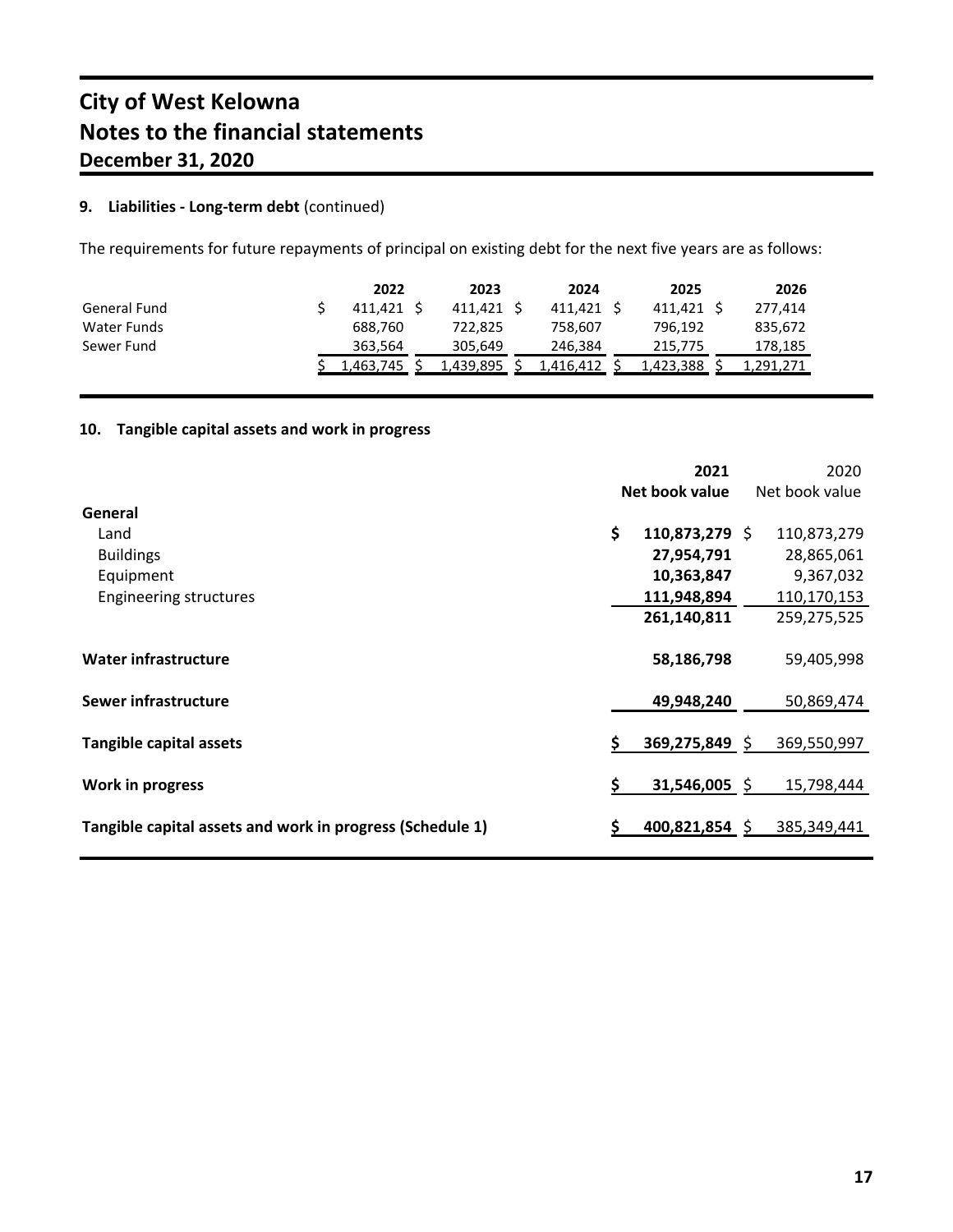#### **9. Liabilities - Long-term debt** (continued)

The requirements for future repayments of principal on existing debt for the next five years are as follows:

|              | 2022      | 2023      | 2024      | 2025      | 2026      |
|--------------|-----------|-----------|-----------|-----------|-----------|
| General Fund | 411.421   | 411.421   | 411.421   | 411.421 S | 277.414   |
| Water Funds  | 688.760   | 722.825   | 758.607   | 796.192   | 835.672   |
| Sewer Fund   | 363,564   | 305.649   | 246.384   | 215.775   | 178,185   |
|              | 1.463.745 | 1,439,895 | 1,416,412 | 1.423.388 | 1.291.271 |

#### **10. Tangible capital assets and work in progress**

|                                                           |    | 2021             | 2020           |
|-----------------------------------------------------------|----|------------------|----------------|
|                                                           |    | Net book value   | Net book value |
| General                                                   |    |                  |                |
| Land                                                      | \$ | $110,873,279$ \$ | 110,873,279    |
| <b>Buildings</b>                                          |    | 27,954,791       | 28,865,061     |
| Equipment                                                 |    | 10,363,847       | 9,367,032      |
| <b>Engineering structures</b>                             |    | 111,948,894      | 110,170,153    |
|                                                           |    | 261,140,811      | 259,275,525    |
| <b>Water infrastructure</b>                               |    | 58,186,798       | 59,405,998     |
| Sewer infrastructure                                      |    | 49,948,240       | 50,869,474     |
| <b>Tangible capital assets</b>                            | \$ | 369,275,849 \$   | 369,550,997    |
| Work in progress                                          | \$ | 31,546,005 \$    | 15,798,444     |
| Tangible capital assets and work in progress (Schedule 1) | s  | 400,821,854 \$   | 385,349,441    |
|                                                           |    |                  |                |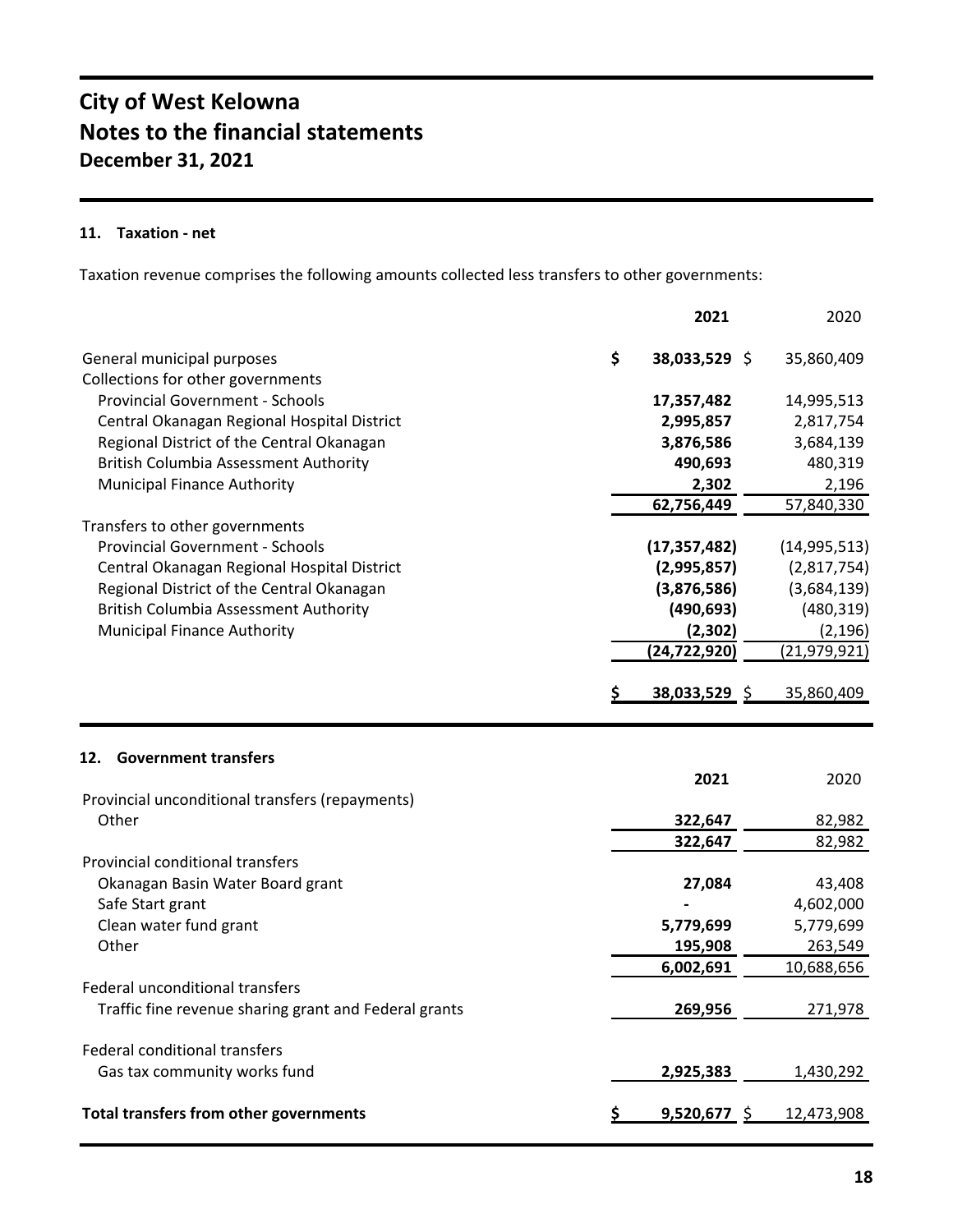#### **11. Taxation - net**

Taxation revenue comprises the following amounts collected less transfers to other governments:

|                                                       | 2021                      | 2020           |
|-------------------------------------------------------|---------------------------|----------------|
| General municipal purposes                            | \$<br>38,033,529 \$       | 35,860,409     |
| Collections for other governments                     |                           |                |
| <b>Provincial Government - Schools</b>                | 17,357,482                | 14,995,513     |
| Central Okanagan Regional Hospital District           | 2,995,857                 | 2,817,754      |
| Regional District of the Central Okanagan             | 3,876,586                 | 3,684,139      |
| <b>British Columbia Assessment Authority</b>          | 490,693                   | 480,319        |
| Municipal Finance Authority                           | 2,302                     | 2,196          |
|                                                       | 62,756,449                | 57,840,330     |
| Transfers to other governments                        |                           |                |
| <b>Provincial Government - Schools</b>                | (17, 357, 482)            | (14, 995, 513) |
| Central Okanagan Regional Hospital District           | (2,995,857)               | (2,817,754)    |
| Regional District of the Central Okanagan             | (3,876,586)               | (3,684,139)    |
| <b>British Columbia Assessment Authority</b>          | (490, 693)                | (480, 319)     |
| <b>Municipal Finance Authority</b>                    | (2, 302)                  | (2, 196)       |
|                                                       | $\overline{(24,722,920)}$ | (21, 979, 921) |
|                                                       | <u>38,033,529 \$</u>      | 35,860,409     |
|                                                       |                           |                |
| <b>Government transfers</b><br>12.                    |                           |                |
|                                                       | 2021                      | 2020           |
| Provincial unconditional transfers (repayments)       |                           |                |
| Other                                                 | 322,647                   | 82,982         |
|                                                       | 322,647                   | 82,982         |
| Provincial conditional transfers                      |                           |                |
| Okanagan Basin Water Board grant                      | 27,084                    | 43,408         |
| Safe Start grant                                      |                           | 4,602,000      |
| Clean water fund grant                                | 5,779,699                 | 5,779,699      |
| Other                                                 | 195,908                   | 263,549        |
|                                                       | 6,002,691                 | 10,688,656     |
| Federal unconditional transfers                       |                           |                |
| Traffic fine revenue sharing grant and Federal grants |                           |                |
|                                                       | 269,956                   | 271,978        |
| <b>Federal conditional transfers</b>                  |                           |                |
| Gas tax community works fund                          | 2,925,383                 | 1,430,292      |
| <b>Total transfers from other governments</b>         | <u>9,520,677 \$____</u>   | 12,473,908     |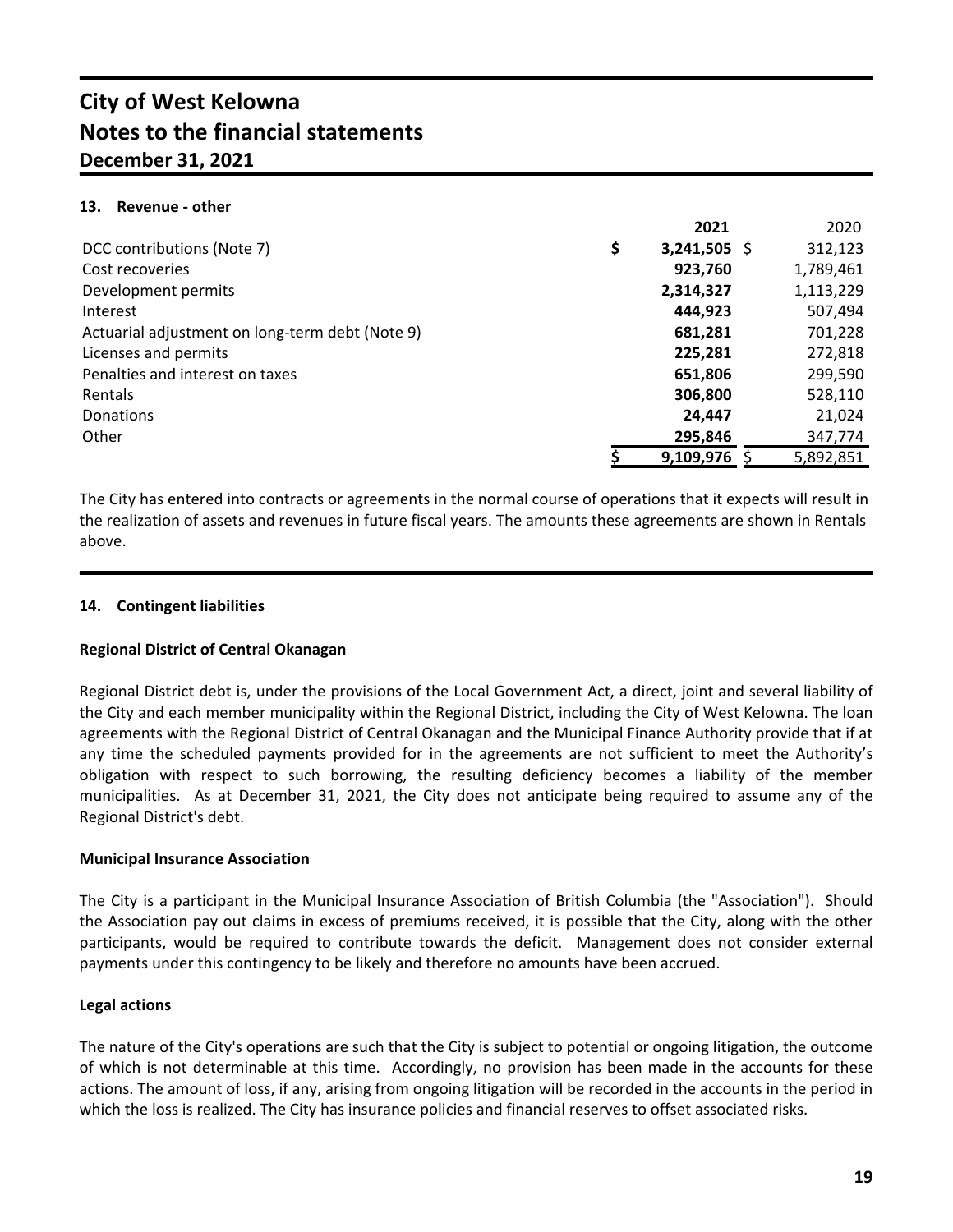#### **13. Revenue - other**

|                                                 | 2021               | 2020      |
|-------------------------------------------------|--------------------|-----------|
| DCC contributions (Note 7)                      | \$<br>3,241,505 \$ | 312,123   |
| Cost recoveries                                 | 923,760            | 1,789,461 |
| Development permits                             | 2,314,327          | 1,113,229 |
| Interest                                        | 444,923            | 507,494   |
| Actuarial adjustment on long-term debt (Note 9) | 681,281            | 701,228   |
| Licenses and permits                            | 225,281            | 272,818   |
| Penalties and interest on taxes                 | 651,806            | 299,590   |
| Rentals                                         | 306,800            | 528,110   |
| Donations                                       | 24.447             | 21,024    |
| Other                                           | 295,846            | 347,774   |
|                                                 | 9,109,976          | 5,892,851 |

The City has entered into contracts or agreements in the normal course of operations that it expects will result in the realization of assets and revenues in future fiscal years. The amounts these agreements are shown in Rentals above.

#### **14. Contingent liabilities**

#### **Regional District of Central Okanagan**

Regional District debt is, under the provisions of the Local Government Act, a direct, joint and several liability of the City and each member municipality within the Regional District, including the City of West Kelowna. The loan agreements with the Regional District of Central Okanagan and the Municipal Finance Authority provide that if at any time the scheduled payments provided for in the agreements are not sufficient to meet the Authority's obligation with respect to such borrowing, the resulting deficiency becomes a liability of the member municipalities. As at December 31, 2021, the City does not anticipate being required to assume any of the Regional District's debt.

#### **Municipal Insurance Association**

The City is a participant in the Municipal Insurance Association of British Columbia (the "Association"). Should the Association pay out claims in excess of premiums received, it is possible that the City, along with the other participants, would be required to contribute towards the deficit. Management does not consider external payments under this contingency to be likely and therefore no amounts have been accrued.

#### **Legal actions**

The nature of the City's operations are such that the City is subject to potential or ongoing litigation, the outcome of which is not determinable at this time. Accordingly, no provision has been made in the accounts for these actions. The amount of loss, if any, arising from ongoing litigation will be recorded in the accounts in the period in which the loss is realized. The City has insurance policies and financial reserves to offset associated risks.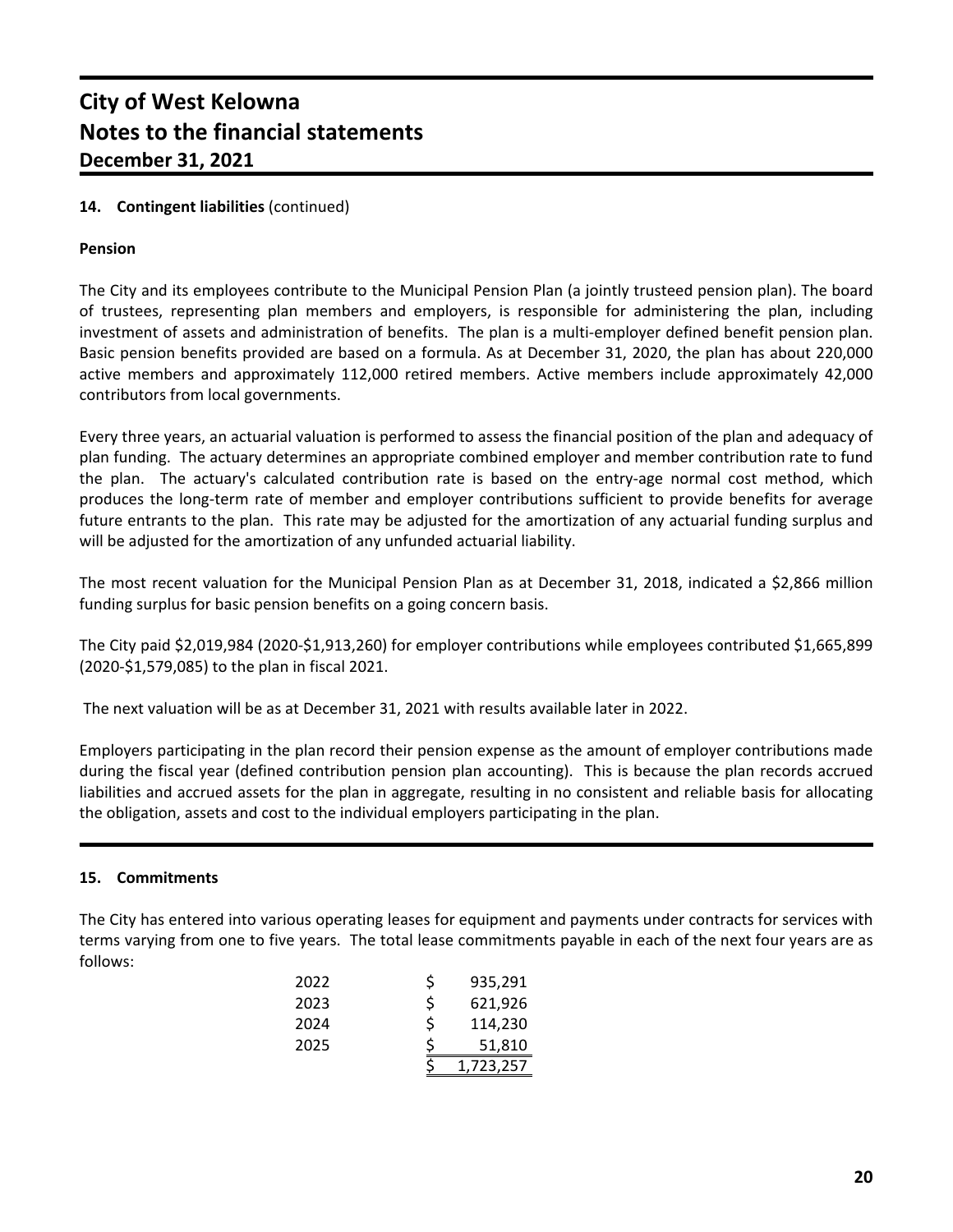#### **14. Contingent liabilities** (continued)

#### **Pension**

The City and its employees contribute to the Municipal Pension Plan (a jointly trusteed pension plan). The board of trustees, representing plan members and employers, is responsible for administering the plan, including investment of assets and administration of benefits. The plan is a multi-employer defined benefit pension plan. Basic pension benefits provided are based on a formula. As at December 31, 2020, the plan has about 220,000 active members and approximately 112,000 retired members. Active members include approximately 42,000 contributors from local governments.

Every three years, an actuarial valuation is performed to assess the financial position of the plan and adequacy of plan funding. The actuary determines an appropriate combined employer and member contribution rate to fund the plan. The actuary's calculated contribution rate is based on the entry-age normal cost method, which produces the long-term rate of member and employer contributions sufficient to provide benefits for average future entrants to the plan. This rate may be adjusted for the amortization of any actuarial funding surplus and will be adjusted for the amortization of any unfunded actuarial liability.

The most recent valuation for the Municipal Pension Plan as at December 31, 2018, indicated a \$2,866 million funding surplus for basic pension benefits on a going concern basis.

The City paid \$2,019,984 (2020-\$1,913,260) for employer contributions while employees contributed \$1,665,899 (2020-\$1,579,085) to the plan in fiscal 2021.

The next valuation will be as at December 31, 2021 with results available later in 2022.

Employers participating in the plan record their pension expense as the amount of employer contributions made during the fiscal year (defined contribution pension plan accounting). This is because the plan records accrued liabilities and accrued assets for the plan in aggregate, resulting in no consistent and reliable basis for allocating the obligation, assets and cost to the individual employers participating in the plan.

#### **15. Commitments**

The City has entered into various operating leases for equipment and payments under contracts for services with terms varying from one to five years. The total lease commitments payable in each of the next four years are as follows:

| 2022 | Ś  | 935,291   |
|------|----|-----------|
| 2023 | Ś  | 621,926   |
| 2024 | Ś  | 114,230   |
| 2025 | \$ | 51,810    |
|      |    | 1,723,257 |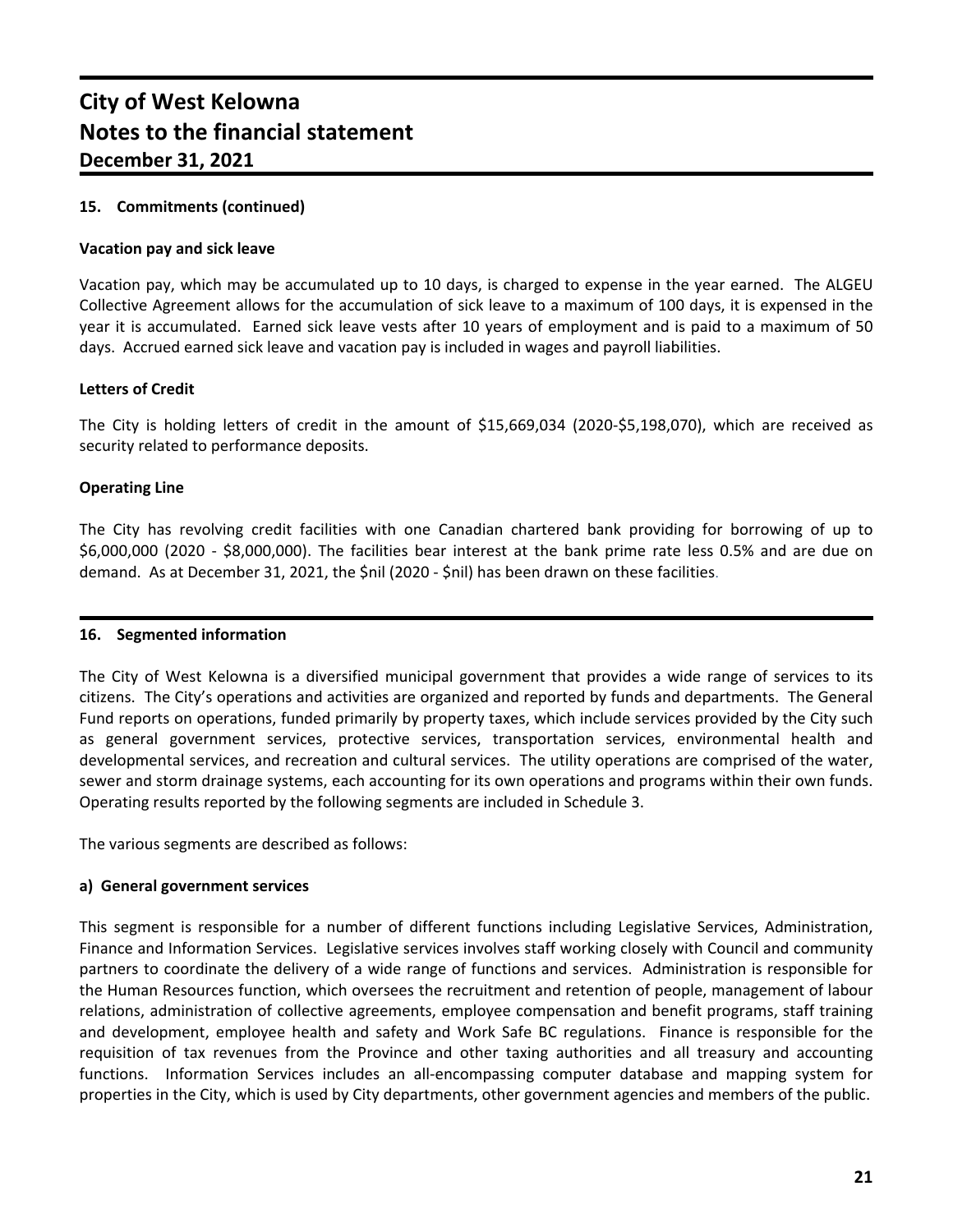#### **15. Commitments (continued)**

#### **Vacation pay and sick leave**

Vacation pay, which may be accumulated up to 10 days, is charged to expense in the year earned. The ALGEU Collective Agreement allows for the accumulation of sick leave to a maximum of 100 days, it is expensed in the year it is accumulated. Earned sick leave vests after 10 years of employment and is paid to a maximum of 50 days. Accrued earned sick leave and vacation pay is included in wages and payroll liabilities.

#### **Letters of Credit**

The City is holding letters of credit in the amount of \$15,669,034 (2020-\$5,198,070), which are received as security related to performance deposits.

#### **Operating Line**

The City has revolving credit facilities with one Canadian chartered bank providing for borrowing of up to \$6,000,000 (2020 - \$8,000,000). The facilities bear interest at the bank prime rate less 0.5% and are due on demand. As at December 31, 2021, the \$nil (2020 - \$nil) has been drawn on these facilities.

#### **16. Segmented information**

The City of West Kelowna is a diversified municipal government that provides a wide range of services to its citizens. The City's operations and activities are organized and reported by funds and departments. The General Fund reports on operations, funded primarily by property taxes, which include services provided by the City such as general government services, protective services, transportation services, environmental health and developmental services, and recreation and cultural services. The utility operations are comprised of the water, sewer and storm drainage systems, each accounting for its own operations and programs within their own funds. Operating results reported by the following segments are included in Schedule 3.

The various segments are described as follows:

#### **a) General government services**

This segment is responsible for a number of different functions including Legislative Services, Administration, Finance and Information Services. Legislative services involves staff working closely with Council and community partners to coordinate the delivery of a wide range of functions and services. Administration is responsible for the Human Resources function, which oversees the recruitment and retention of people, management of labour relations, administration of collective agreements, employee compensation and benefit programs, staff training and development, employee health and safety and Work Safe BC regulations. Finance is responsible for the requisition of tax revenues from the Province and other taxing authorities and all treasury and accounting functions. Information Services includes an all-encompassing computer database and mapping system for properties in the City, which is used by City departments, other government agencies and members of the public.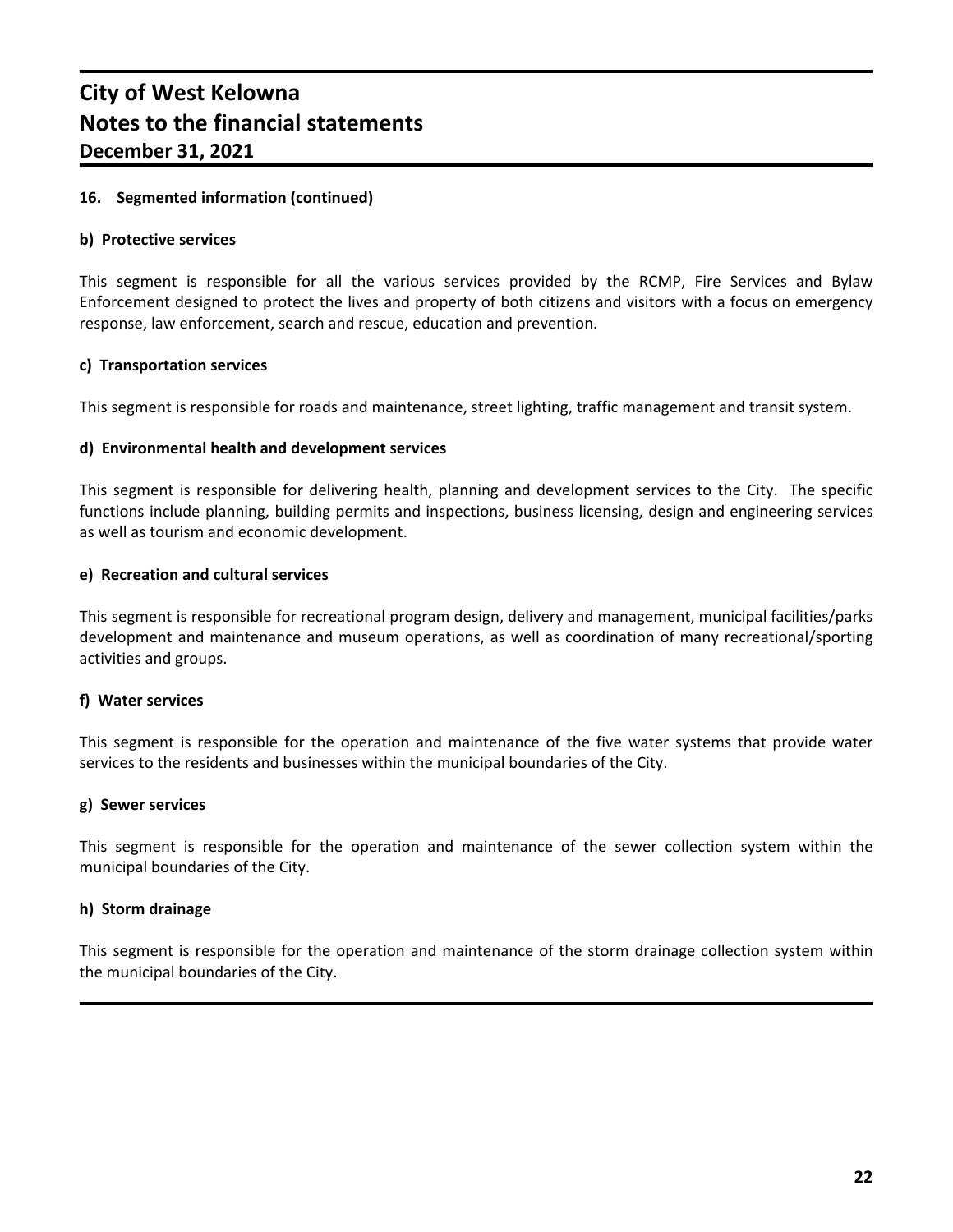#### **16. Segmented information (continued)**

#### **b) Protective services**

This segment is responsible for all the various services provided by the RCMP, Fire Services and Bylaw Enforcement designed to protect the lives and property of both citizens and visitors with a focus on emergency response, law enforcement, search and rescue, education and prevention.

#### **c) Transportation services**

This segment is responsible for roads and maintenance, street lighting, traffic management and transit system.

#### **d) Environmental health and development services**

This segment is responsible for delivering health, planning and development services to the City. The specific functions include planning, building permits and inspections, business licensing, design and engineering services as well as tourism and economic development.

#### **e) Recreation and cultural services**

This segment is responsible for recreational program design, delivery and management, municipal facilities/parks development and maintenance and museum operations, as well as coordination of many recreational/sporting activities and groups.

#### **f) Water services**

This segment is responsible for the operation and maintenance of the five water systems that provide water services to the residents and businesses within the municipal boundaries of the City.

#### **g) Sewer services**

This segment is responsible for the operation and maintenance of the sewer collection system within the municipal boundaries of the City.

#### **h) Storm drainage**

This segment is responsible for the operation and maintenance of the storm drainage collection system within the municipal boundaries of the City.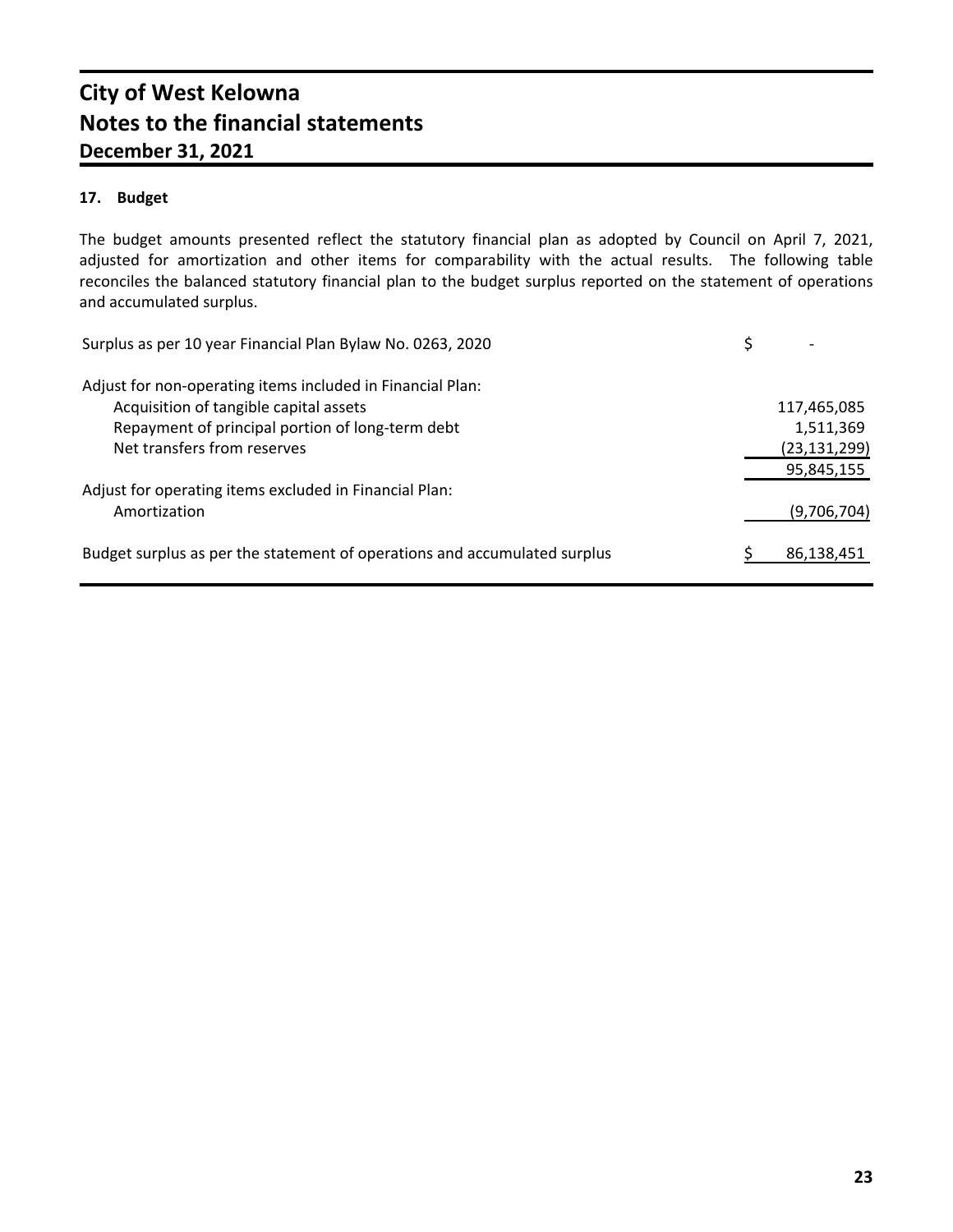#### **17. Budget**

The budget amounts presented reflect the statutory financial plan as adopted by Council on April 7, 2021, adjusted for amortization and other items for comparability with the actual results. The following table reconciles the balanced statutory financial plan to the budget surplus reported on the statement of operations and accumulated surplus.

| Surplus as per 10 year Financial Plan Bylaw No. 0263, 2020                |                |
|---------------------------------------------------------------------------|----------------|
| Adjust for non-operating items included in Financial Plan:                |                |
| Acquisition of tangible capital assets                                    | 117,465,085    |
| Repayment of principal portion of long-term debt                          | 1,511,369      |
| Net transfers from reserves                                               | (23, 131, 299) |
|                                                                           | 95,845,155     |
| Adjust for operating items excluded in Financial Plan:                    |                |
| Amortization                                                              | (9,706,704)    |
| Budget surplus as per the statement of operations and accumulated surplus | 86,138,451     |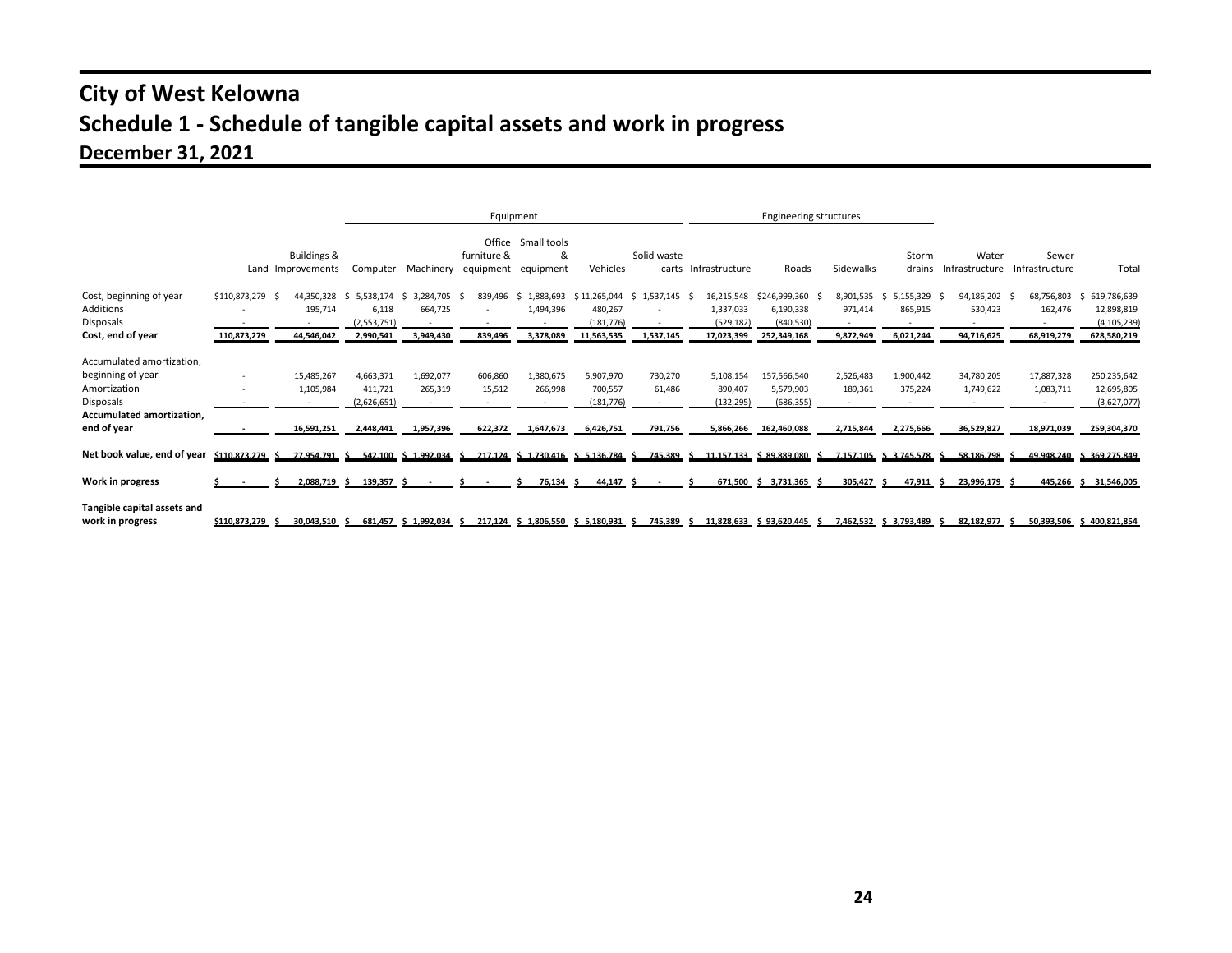## **City of West Kelowna Schedule 1 - Schedule of tangible capital assets and work in progress December 31, 2021**

|                                                                                                                         |                                 |                                       |                                                      | Equipment                                                     |                              |                                           |                                                     |                              | <b>Engineering structures</b>                       |                                                         |                                   |                                             |                                       |                                            |                                                                 |
|-------------------------------------------------------------------------------------------------------------------------|---------------------------------|---------------------------------------|------------------------------------------------------|---------------------------------------------------------------|------------------------------|-------------------------------------------|-----------------------------------------------------|------------------------------|-----------------------------------------------------|---------------------------------------------------------|-----------------------------------|---------------------------------------------|---------------------------------------|--------------------------------------------|-----------------------------------------------------------------|
|                                                                                                                         |                                 | Buildings &<br>Land Improvements      | Computer                                             | Machinery                                                     | furniture &<br>equipment     | Office Small tools<br>&<br>equipment      | Vehicles                                            | Solid waste<br>carts         | Infrastructure                                      | Roads                                                   | Sidewalks                         | Storm<br>drains                             | Water<br>Infrastructure               | Sewer<br>Infrastructure                    | Total                                                           |
| Cost, beginning of year<br>Additions<br>Disposals<br>Cost, end of year                                                  | \$110,873,279 \$<br>110,873,279 | 44.350.328<br>195,714<br>44,546,042   | 5,538,174<br>-S<br>6,118<br>(2,553,751)<br>2,990,541 | 3,284,705<br>664,725<br>3,949,430                             | 839,496<br>839,496           | 1,883,693<br>Ŝ.<br>1,494,396<br>3,378,089 | \$11,265,044<br>480,267<br>(181, 776)<br>11,563,535 | $$1,537,145$ \$<br>1,537,145 | 16,215,548<br>1,337,033<br>(529, 182)<br>17,023,399 | \$246,999,360<br>6,190,338<br>(840, 530)<br>252,349,168 | 8,901,535<br>971,414<br>9,872,949 | 5,155,329 \$<br>- Ś<br>865,915<br>6,021,244 | 94,186,202<br>530,423<br>94,716,625   | 68,756,803<br>- S<br>162,476<br>68,919,279 | 619,786,639<br>-S<br>12,898,819<br>(4, 105, 239)<br>628,580,219 |
| Accumulated amortization,<br>beginning of year<br>Amortization<br>Disposals<br>Accumulated amortization,<br>end of year |                                 | 15,485,267<br>1,105,984<br>16,591,251 | 4,663,371<br>411,721<br>(2,626,651)<br>2,448,441     | 1,692,077<br>265,319<br>$\overline{\phantom{a}}$<br>1,957,396 | 606,860<br>15,512<br>622,372 | 1,380,675<br>266,998<br>1,647,673         | 5,907,970<br>700,557<br>(181, 776)<br>6,426,751     | 730,270<br>61,486<br>791,756 | 5,108,154<br>890,407<br>(132, 295)<br>5,866,266     | 157,566,540<br>5,579,903<br>(686, 355)<br>162,460,088   | 2,526,483<br>189,361<br>2,715,844 | 1,900,442<br>375,224<br>$\sim$<br>2,275,666 | 34,780,205<br>1,749,622<br>36,529,827 | 17,887,328<br>1,083,711<br>18,971,039      | 250,235,642<br>12,695,805<br>(3,627,077)<br>259,304,370         |
| Net book value, end of year                                                                                             | \$110.873.279                   | 27.954.791                            | 542.100                                              | \$1.992.034                                                   | 217.124                      |                                           | \$1.730.416 \$5.136.784                             | 745.389                      |                                                     | 11.157.133 \$ 89.889.080                                |                                   | 7.157.105 \$ 3.745.578                      | 58.186.798                            | 49.948.240                                 | \$369,275.849                                                   |
| Work in progress                                                                                                        |                                 | 2.088.719                             | 139.357                                              |                                                               |                              | 76.134                                    | 44.147                                              |                              |                                                     | 671.500 \$ 3.731.365                                    | 305.427                           | 47.911                                      | 23.996.179                            |                                            | 445.266 \$ 31.546.005                                           |
| Tangible capital assets and<br>work in progress                                                                         | \$110.873.279                   | 30.043.510                            | 681.457                                              | \$1.992.034                                                   |                              |                                           | 217.124 \$ 1.806.550 \$ 5.180.931                   | 745.389                      | $$11.828.633 \quad $93.620.445 \quad $$             |                                                         |                                   | 7.462.532 \$ 3.793.489                      | 82.182.977 \$                         |                                            | 50.393.506 \$ 400.821.854                                       |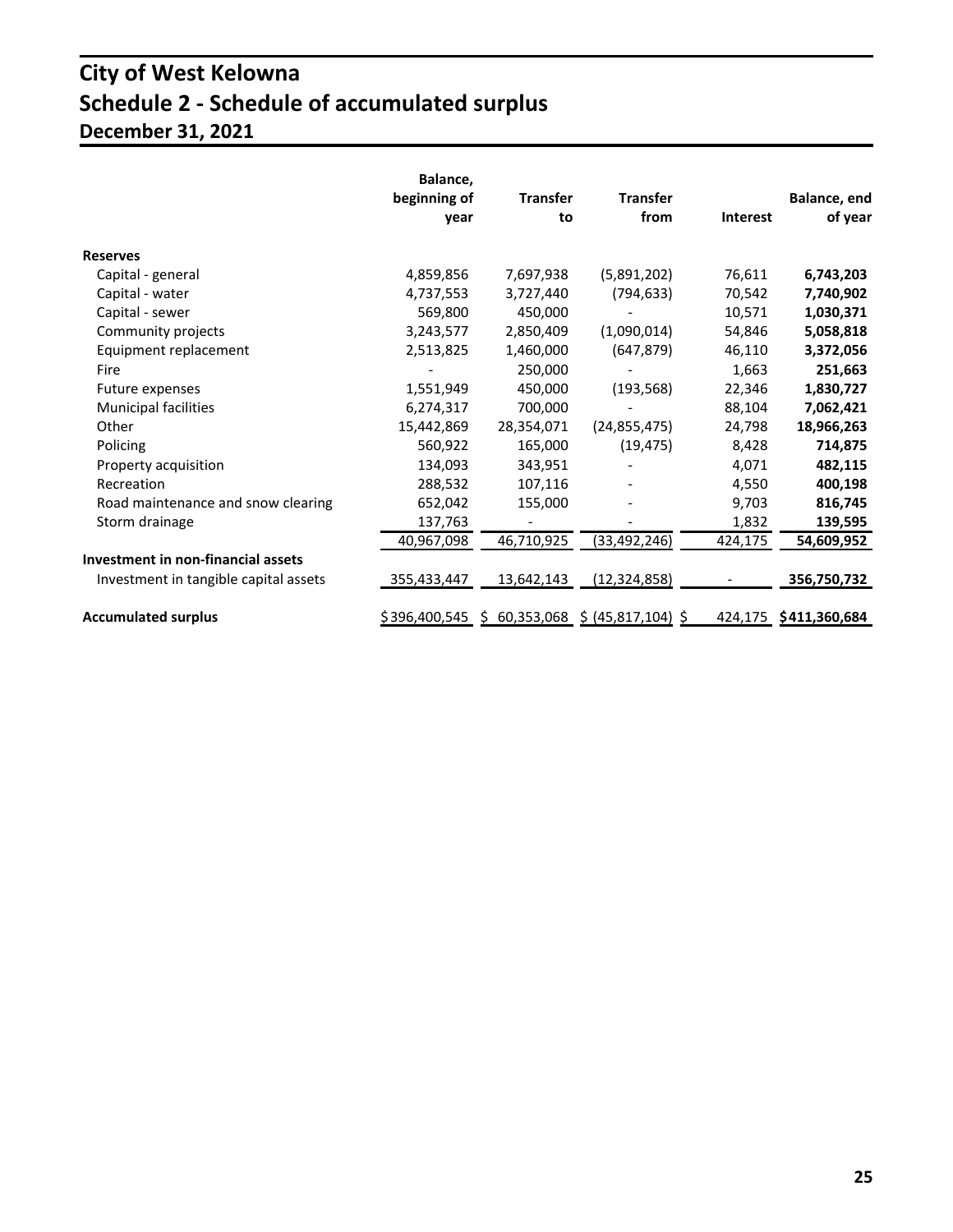## **City of West Kelowna Schedule 2 - Schedule of accumulated surplus December 31, 2021**

|                                       | Balance,      |                 |                                    |          |                       |
|---------------------------------------|---------------|-----------------|------------------------------------|----------|-----------------------|
|                                       | beginning of  | <b>Transfer</b> | <b>Transfer</b>                    |          | Balance, end          |
|                                       | year          | to              | from                               | Interest | of year               |
| <b>Reserves</b>                       |               |                 |                                    |          |                       |
| Capital - general                     | 4,859,856     | 7,697,938       | (5,891,202)                        | 76,611   | 6,743,203             |
| Capital - water                       | 4,737,553     | 3,727,440       | (794, 633)                         | 70,542   | 7,740,902             |
| Capital - sewer                       | 569,800       | 450,000         |                                    | 10,571   | 1,030,371             |
| Community projects                    | 3,243,577     | 2,850,409       | (1,090,014)                        | 54,846   | 5,058,818             |
| Equipment replacement                 | 2,513,825     | 1,460,000       | (647, 879)                         | 46,110   | 3,372,056             |
| Fire                                  |               | 250,000         |                                    | 1,663    | 251,663               |
| Future expenses                       | 1,551,949     | 450,000         | (193, 568)                         | 22,346   | 1,830,727             |
| <b>Municipal facilities</b>           | 6,274,317     | 700,000         |                                    | 88,104   | 7,062,421             |
| Other                                 | 15,442,869    | 28,354,071      | (24, 855, 475)                     | 24,798   | 18,966,263            |
| Policing                              | 560,922       | 165,000         | (19, 475)                          | 8,428    | 714,875               |
| Property acquisition                  | 134,093       | 343,951         |                                    | 4,071    | 482,115               |
| Recreation                            | 288,532       | 107,116         |                                    | 4,550    | 400,198               |
| Road maintenance and snow clearing    | 652,042       | 155,000         |                                    | 9,703    | 816,745               |
| Storm drainage                        | 137,763       |                 |                                    | 1,832    | 139,595               |
|                                       | 40,967,098    | 46,710,925      | (33, 492, 246)                     | 424,175  | 54,609,952            |
| Investment in non-financial assets    |               |                 |                                    |          |                       |
| Investment in tangible capital assets | 355,433,447   | 13,642,143      | (12, 324, 858)                     |          | 356,750,732           |
| <b>Accumulated surplus</b>            | \$396,400,545 |                 | $$60,353,068$$ $$(45,817,104)$$ \$ |          | 424,175 \$411,360,684 |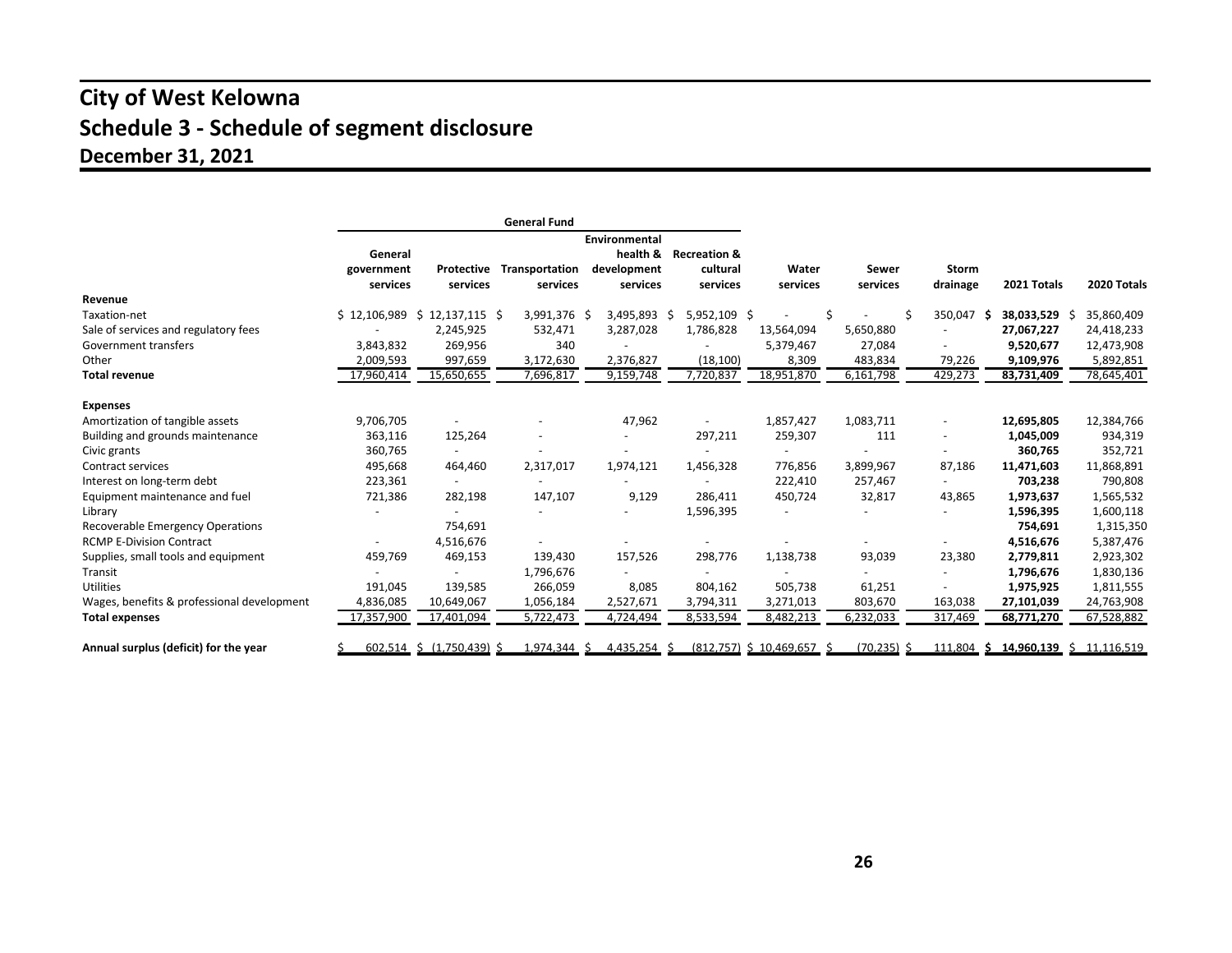## **City of West Kelowna Schedule 3 - Schedule of segment disclosure December 31, 2021**

|                                            |              |                           | <b>General Fund</b>          |                    |                         |                           |                      |                          |                                     |             |
|--------------------------------------------|--------------|---------------------------|------------------------------|--------------------|-------------------------|---------------------------|----------------------|--------------------------|-------------------------------------|-------------|
|                                            |              |                           |                              | Environmental      |                         |                           |                      |                          |                                     |             |
|                                            | General      |                           |                              | health &           | <b>Recreation &amp;</b> |                           |                      |                          |                                     |             |
|                                            | government   | Protective                | Transportation               | development        | cultural                | Water                     | Sewer                | Storm                    |                                     |             |
|                                            | services     | services                  | services                     | services           | services                | services                  | services             | drainage                 | 2021 Totals                         | 2020 Totals |
| Revenue                                    |              |                           |                              |                    |                         |                           |                      |                          |                                     |             |
| Taxation-net                               | \$12,106,989 | 12,137,115 \$<br>-S       | 3,991,376 \$                 | 3,495,893          | 5,952,109 \$<br>-S      |                           |                      | 350,047                  | 38,033,529 \$<br>-S                 | 35,860,409  |
| Sale of services and regulatory fees       |              | 2,245,925                 | 532,471                      | 3,287,028          | 1,786,828               | 13,564,094                | 5,650,880            | $\overline{\phantom{a}}$ | 27,067,227                          | 24,418,233  |
| Government transfers                       | 3,843,832    | 269,956                   | 340                          |                    |                         | 5,379,467                 | 27,084               |                          | 9,520,677                           | 12,473,908  |
| Other                                      | 2,009,593    | 997,659                   | 3,172,630                    | 2,376,827          | (18, 100)               | 8,309                     | 483,834              | 79,226                   | 9,109,976                           | 5,892,851   |
| <b>Total revenue</b>                       | 17,960,414   | 15,650,655                | 7,696,817                    | 9,159,748          | 7,720,837               | 18,951,870                | 6,161,798            | 429,273                  | 83,731,409                          | 78,645,401  |
| <b>Expenses</b>                            |              |                           |                              |                    |                         |                           |                      |                          |                                     |             |
| Amortization of tangible assets            | 9,706,705    |                           |                              | 47,962             |                         | 1,857,427                 | 1,083,711            | $\overline{\phantom{a}}$ | 12,695,805                          | 12,384,766  |
| Building and grounds maintenance           | 363,116      | 125,264                   | $\qquad \qquad \blacksquare$ |                    | 297,211                 | 259,307                   | 111                  | $\overline{\phantom{a}}$ | 1,045,009                           | 934,319     |
| Civic grants                               | 360,765      | $\overline{\phantom{a}}$  |                              |                    |                         | $\overline{\phantom{a}}$  |                      |                          | 360,765                             | 352,721     |
| <b>Contract services</b>                   | 495,668      | 464,460                   | 2,317,017                    | 1,974,121          | 1,456,328               | 776,856                   | 3,899,967            | 87,186                   | 11,471,603                          | 11,868,891  |
| Interest on long-term debt                 | 223,361      |                           |                              |                    |                         | 222,410                   | 257,467              |                          | 703,238                             | 790,808     |
| Equipment maintenance and fuel             | 721,386      | 282,198                   | 147,107                      | 9,129              | 286,411                 | 450,724                   | 32,817               | 43,865                   | 1,973,637                           | 1,565,532   |
| Library                                    |              |                           |                              |                    | 1,596,395               |                           |                      |                          | 1,596,395                           | 1,600,118   |
| Recoverable Emergency Operations           |              | 754,691                   |                              |                    |                         |                           |                      |                          | 754,691                             | 1,315,350   |
| <b>RCMP E-Division Contract</b>            |              | 4,516,676                 | $\overline{\phantom{a}}$     |                    |                         |                           |                      |                          | 4,516,676                           | 5,387,476   |
| Supplies, small tools and equipment        | 459,769      | 469,153                   | 139,430                      | 157,526            | 298,776                 | 1,138,738                 | 93,039               | 23,380                   | 2,779,811                           | 2,923,302   |
| Transit                                    |              |                           | 1,796,676                    |                    |                         |                           |                      |                          | 1,796,676                           | 1,830,136   |
| Utilities                                  | 191,045      | 139,585                   | 266,059                      | 8,085              | 804,162                 | 505,738                   | 61,251               | $\overline{\phantom{a}}$ | 1,975,925                           | 1,811,555   |
| Wages, benefits & professional development | 4,836,085    | 10,649,067                | 1,056,184                    | 2,527,671          | 3,794,311               | 3,271,013                 | 803,670              | 163,038                  | 27,101,039                          | 24,763,908  |
| <b>Total expenses</b>                      | 17,357,900   | 17,401,094                | 5,722,473                    | 4,724,494          | 8,533,594               | 8,482,213                 | 6,232,033            | 317,469                  | 68,771,270                          | 67,528,882  |
| Annual surplus (deficit) for the year      |              | 602,514 \$ (1,750,439) \$ | 1.974.344                    | 4,435,254 \$<br>-S |                         | $(812,757)$ \$ 10,469,657 | $(70, 235)$ \$<br>-S |                          | 111,804 \$ 14,960,139 \$ 11,116,519 |             |